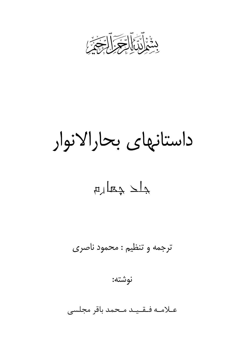

داستانهای بحارالانوار

 $\mu$   $\mu$ 

ترجمه و تنظیم : محمود ناصری

نوشته:

عـلامـه فـقـيـد مـحمد باقر مجلسى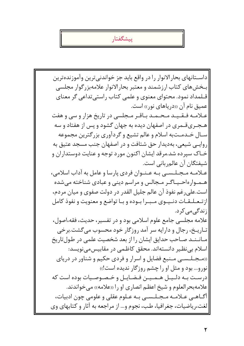يبشگفتار

داسـتانهاى بحارالانوار را در واقع بايد جز خواندنيترين وآموزندهترين بخشهای کتاب ارزشمند و معتبر بحارالانوار علامهبزرگوار مجلسی قــلمداد نمود. محتوای معنوی و علمی کتاب راستی تداعی گر معنای عمیق نام آن «دریاهای نور» است. عـلامـه فـقـیـد مـحـمـد بـاقـر مـجلسى در تاریخ هزار و سى و هفت هـجـریقـمری در اصفهان دیده به جهان گشود و پس از هفتاد و سه سـال خـدمـتبه اسلام و عالم تشيع و گردآوري بزرگترين مجموعه روایی شیعی، بهدیدار حق شتافت و در اصفهان جنب مسجد عتیق به خـاک سپرده شد.مرقد ایشان اکنون مورد توجه و عنایت دوستداران و شیفتگان آن عالم, بانی است. عبلاميه مجيليسي بيه عننبوان فردي يارسا و عامل به آداب اسلامي، هـمـوارەاحـیـاگـر مـجالس و مراسم دینی و عبادی شناخته می شده است.علي رغم نفوذ آن عالم جليل القدر در دولت صفوي و ميان مردم، |از تـعـلـقـات دنـيـوى مـبـرا بـوده و بـا تواضع و معنويت و نفوذ كامل |; ندگے مے کر د. علامه مجلسي جامع علوم اسلامي بود و در تفسير، حديث، فقه،اصول، تـاریـخ، رجال و دارایه سر آمد روزگار خود محسوب میگشت.برخی مـانـنـد صـاحب حدايق ايشان را از بعد شخصيت علمي در طولتاريخ اسلام بی نظیر دانستهاند. محقق کاظمی در مقابیس می نویسد: «مجلسه منبع فضایل و اسرار و فردی حکیم و شناور در دریای نورو... بود و مثل او را چشم روزگار ندیده است!» درست به دليـل هـمـيـن فـضـايـل و خـصـوصـيات بوده است كه علامهبحرالعلوم و شیخ اعظم انصاری او را «علامه» میخواندند. |آگــاهــي عــلامــه مــجــلــســي بــه عــلوم عقلي و علومي چون ادبيات، |لغت،ریاضیات، جغرافیا، طب، نجوم و... از مراجعه به آثار و کتابهای وی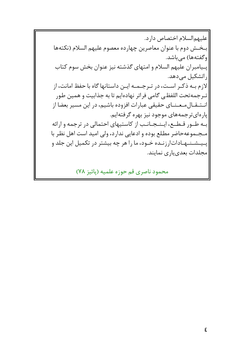|عليهم|لسلام اختصاص دارد. بخش دوم با عنوان معاصرين چهارده معصوم عليهم السلام (نكتهها وگفتهها) میباشد. |پـیامبران علیهم السلام و امتهای گذشته نیز عنوان بخش سوم کتاب راتشکیل میدهد. لازم بـه ذکـر اسـت، در تـرجـمـه ايـن داستانها گاه با حفظ امانت، از |تـرجمهتحت اللفظي گامي فراتر نهادهايم تا به جذابيت و همين طور |انستقـالمـعـنـاي حقيقي عبارات افزوده باشيم، در اين مسير بعضا از ً یار های تر جمههای موجود نیز بهره گرفتهایم. به طـور قـطـع، ایـنـجـانـب از کاستیهای احتمالی در ترجمه و ارائه مجموعه حاضر مطلع بوده و ادعایی ندارد، ولی امید است اهل نظر با یپیشنیهباداتارزنیده خبود، ما را هر چه بیشتر در تکمیل این جلد و مجلدات بعدی یاری نمایند.

محمود ناصري قم حوزه علميه (پائيز ٧٨)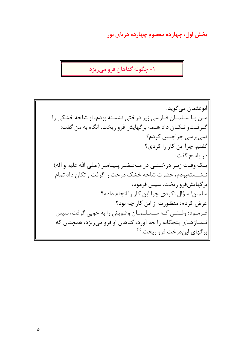بخش اول: چهارده معصوم چهارده دریای نور

۱- چگونه گناهان فرو میریزد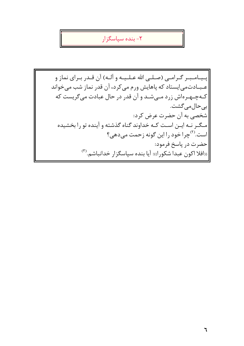## ۲- بنده سیاسگزار

پیمامبیر گیرامبی (صلبی الله عبلییه و آلیه) آن قیدر بیرای نماز و عـبـادتمى|يستاد كه پاهايش ورم مى كرد، آن قدر نماز شب مىخواند کـهچـهـرهاش زرد مـیشـد و آن قدر در حال عبادت میگریست که ا بى حال مى گشت. شخصی به آن حضرت عرض کرد: مگر نه ایـن اسـت کـه خداوند گناه گذشته و آینده تو را بخشیده است.<sup>(۲)</sup>چرا خود را این گونه زحمت میدهی؟ |حضرت در پاسخ فرمود: ارافلا اکون عبدا شکورا)): آیا بنده سپاسگزار خدانباشم.(٣)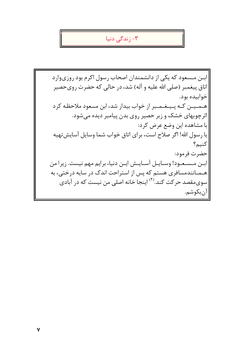#### خ زندگی دنیا  $-1$

ابس مسعود که یکی از دانشمندان اصحاب رسول اکرم بود روزیوارد اتاق پیغمبر (صلی الله علیه و آله) شد، در حالی که حضرت رویحصیر خوابيده بود. هـمـیـن کـه پـیـغـمـبر از خواب بیدار شد، ابن مسعود ملاحظـه کرد اثرچوبهای خشک و زبر حصیر روی بدن پیامبر دیده میشود. با مشاهده اين وضع عرض كرد: يا رسول الله! اگر صلاح است، براي اتاق خواب شما وسايل آسايشتهيه كنيم؟ حضرت فرمود: ابــن مــسـعـود! وســايــل آســايــش ايــن دنيا، برايم مهم نيست. زيرا من هــمــانندمسافري هستم كه پس از استراحت اندک در سايه درختي، به سویمقصد حر کت کند.<sup>(۴)</sup> اینجا خانه اصلی من نیست که در آبادی |آنبكوشم.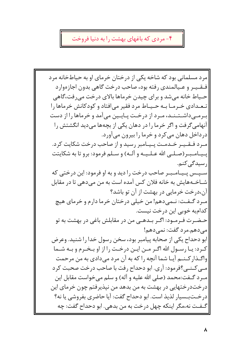## ۴- مردی که باغهای بهشت را به دنیا فروخت

|مرد مسلمانی بود که شاخه یکی از درختان خرمای او به حیاطخانه مرد فيقييير و عبيالمندي رفته بود، صاحب درخت گاهي بدون اجازهوارد حـياط خانه مے شد و براي چيدن خرماها بالاي درخت مے,رفت،گاهي تبعیدادی خبرمیا بیه حیییاط مرد فقیر می افتاد و کودکانش خرماها را ب رمـی۱شـتـنـد، مـرد از درخـت پـایـین میآمد و خرماها را از دست آنهامیگرفت و اگر خرما را در دهان یکی از بچهها میدید انگشتش را درداخل دهان می کرد و خرما را بیرون می آورد. مـرد فـقـیـر خـدمـت پـیـامبر رسید و از صاحب درخت شکایت کرد. پـیـامـبـر(صـلـی الله عـلـیـه و آلـه) و سـلم فرمود: برو تا به شکایتت |, سیدگے کنم. سییس پیپامیبر صاحب درخت را دید و به او فرمود: این درختی که |شــاخــهـهايش به خانه فلان كس آمده است به من مے دهے ٍ تا در مقابل آن،درخت خرمایی در بهشت از آن تو باشد؟ |مـرد گـفـت: نـمىدهم! من خيلي درختان خرما دارم و خرماي هيچ كدامبه خوبي اين درخت نيست. حـضـرت فـرمـود: اگـر بـدهـی من در مقابلش باغی در بهشت به تو |می٥هم.مرد گفت: نمی٥هم! ابو دحداح یکی از صحابه پیامبر بود، سخن رسول خدا را شنید. وعرض کـرد: يـا رسـول الله اگـر مـن ايـن درخـت را از او بـخـرم و بـه شـما واگـذار كـنـم آيـا شما آنچه را كه به آن مرد مىدادى به من مرحمت مبي كـنبي؟فرمود: آرى. ابو دحداح رفت با صاحب درخت صحبت كرد مـرد گـفت:محمد (صلى الله عليه و آله) و سلم مىخواست مقابل اين درختدرختهایی در بهشت به من بدهد من نپذیرفتم چون خرمای این درخـتبـسيار لذيذ است. ابو دحداح گفت: آيا حاضري بفروشي يا نه؟ گـفـت نه،مگر اينكه چهل درخت به من بدهي. ابو دحداح گفت: چه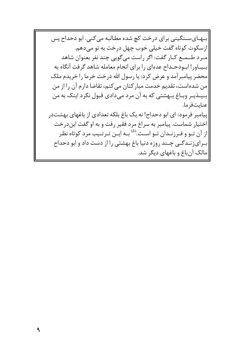بـهـايسـنگيني براي درخت كچ شده مطـالبه مي كني. ابو دحداح پس |ازسکوت کوتاه گفت خیلی خوب چهل درخت به تو می دهم. مرد طـمـع كـار گفت: اگر راست مىگويى چند نفر بعنوان شاهد بسیاور! اب ودحـداح عدهای را برای انجام معامله شاهد گرفت آنگاه به محضر پیامبر آمد و عرض کرد: یا رسول الله درخت خرما را خریدم ملک من شده است، تقدیم خدمت مبارکتان میکنم، تقاضا دارم آن را از من |بـپــذيــر وبــاغ بــهشتى كه به آن مرد مىدادى قبول نكرد اينك به من |عنايتفرما. اییامبر فرمود: ای ابو دحداح! نه یک باغ بلکه تعدادی از باغهای بهشتدر |اختيار شماست. پيامبر به سراغ مرد فقير رفت و به او گفت ايندرخت ًاز آن تــو و فــرزنــدان تــو اســت.<sup>(۵)</sup> بــه ايــن تــرتــيب مرد كوتاه نظـر برای زنـدگـی چـند روزه دنیا باغ بهشتی را از دست داد و ابو دحداح |مالک آنباغ و باغهای دیگر شد.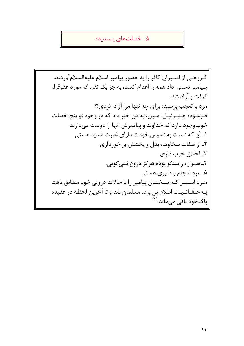#### ۵- خصلتهای پسندیده

گیروهیی از استیران کافر را به حضور پیامبر اسلام علیهالسلامآوردند. یـیامبر دستور داد همه را اعدام کنند، به جز یک نفر، که مورد عفوقرار گرفت و آزاد شد. مرد با تعجب پرسید: برای چه تنها مرا آزاد کردی!؟ فـرمــود: جــبــرئيــل امــين، به من خبر داد كه در وجود تو پنج خصلت خوبوجود دارد که خداوند و پیامبرش آنها را دوست میدارند. ۱ـ آن که نسبت به ناموس خودت دارای غیرت شدید هستی. ٢ـ از صفات سخاوت، بذل و بخشش بر خورداري. ۳ـ اخلاق خوب داري. ۴ـ همواره راستگو بوده هرگز دروغ نمی گویی. ۵ـ مرد شجاع و دليري هستي. |میرد استیپر کته سیختنان پیامبر را با حالات درونی خود مطابق یافت |بـهحـقـانـيـت اسلام پي برد، مسلمان شد و تا آخرين لحظه در عقيده |پاکخود باقی میماند.<sup>(۶)</sup>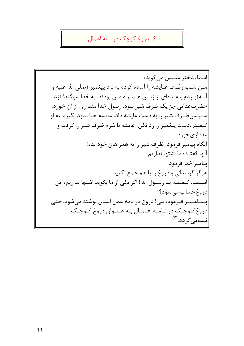### ۶- دروغ کوچک در نامه اعمال

|اسماء دختر عميس مي گويد: مین شب زفیاف عبایشه را آماده کرده به نزد پیغمبر (صلی الله علیه و آلــه)بـردم و عــدهای از زنــان هــمــراه مــن بودند. به خدا سوگند! نزد حضرتغذایی جز یک ظرف شیر نبود. رسول خدا مقداری از آن خورد. سـپـس ظـرف شیر را به دست عایشه داد، عایشه حیا نمود بگیرد. به او گـفـتم:دست پیغمبر را رد نکن! عایشه با شرم ظرف شیر را گرفت و |مقداریخورد. آنگاه پیامبر فرمود: ظرف شیر را به همراهان خود بده! آنها گفتند: ما اشتها نداریم. |ييامبر خدا فرمود: هرگز گرسنگی و دروغ را با هم جمع نکنید. اســمــاء گــفــت: يــا رســول الله! اگر يكي از ما بگويد اشتها نداريم، اين دروغ حساب می شود؟ |پـیـامـبـر فـرمود: بلی! دروغ در نامه عمل انسان نوشته میشود. حتی دروغ کوچک در نامه اعـمـال بـه عـنـوان دروغ کـوچـک شتمىگردد. (<sup>٧)</sup>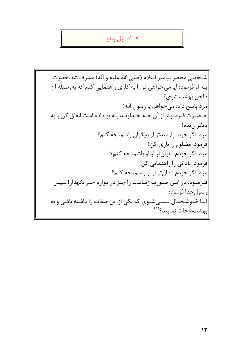# کنترل زبان $-$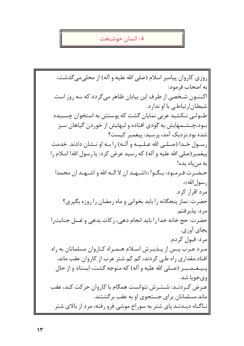#### ٨- انسان خوشبخت

روزی کاروان پیامبر اسلام (صلی الله علیه و آله) از محلی میگذشت، به اصحاب فرمود: اکـنـون شـخصی از طرف این بیابان ظاهر میگردد که سه روز است شیطان|رتباطی با او ندارد. طـولـی نـکشید عربی نمایان گشت که پوستش به استخوان چسبیده بــود،چــشــمهایش به گودی افتاده و لبهایش از خوردن گیاهان سبز شده بود.نزدیک آمد، پرسید: پیغمبر کیست؟ رسـول خـدا (صـلـى الله عـلـيـه و آلـه) را بـه او نـشان دادند. خدمت پیغمبر (صلی الله علیه و آله) که رسید عرض کرد: یا رسول الله! اسلام را به من یاد بده! حـضـرت فـرمـود: بـگـو! ((اشـهـد ان لا الـه الله و اشـهـد ان محمدا ار سول الله)). مرد اقرار کرد. حضرت: نماز پنجگانه را باید بخوانی و ماه رمضان را روزه بگیری؟ مرد: يذيرفتم. حضرت: حج خانه خدا را بايد انجام دهي، زكات بدهي و غسل جنابت را بجاي آوري. مرد: قبول كردم. میرد عیرب پیس از پیذیبرش اسپلام هیمیراه کیاروان مسلمانان به راه افتاد.مقداری راه طبی کردند، کم کم شتر عرب از کاروان عقب ماند. يسيغهمسبر (صلبي الله عليه و آله) كه متوجه گشت، ايستاد و از حال وي جويا شد. عـرض كـردنـد: شـتـرش نتوانست همگام با كاروان حركت كند، عقب ماند.مسلمانان برای جستجوی او به عقب برگشتند. |نــاگــاه ديــدنــد پاي شتر به سوراخ موشي فرو رفته، مرد از بالاي شتر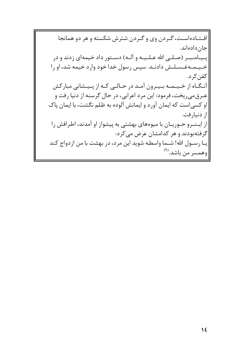افستادهاست، گردن وی و گردن شترش شکسته و هر دو همانجا جان دادەاند. پـیـامـبـر (صـلـی الله عـلـیـه و آلـه) دسـتور داد خیمهای زدند و در خىيىمىەغىسىلىش دادنىد. سپس رسول خدا خود وارد خيمه شد، او را كفن كر د. آنگاه از خیمه بیرون آمد در حالبی کـه از پـیـشانی مبارکش عـرق،می ریخت، فرمود: این مرد اعرابی، در حال گرسنه از دنیا رفت و او کسی است که ایمان آورد و ایمانش آلوده به ظلم نگشت، با ایمان پاک |از دنیارفت. |از ایـنــرو حــوریــان با میوههای بهشتی به پیشواز او آمدند، اطـرافش را |گرفتهبودند و هر کدامشان عرض میکرد: ً يـا رســول الله! شــما واسطـه شويد اين مرد، در بهشت با من ازدواج كند وهمسر من باشد.<sup>(۹)</sup>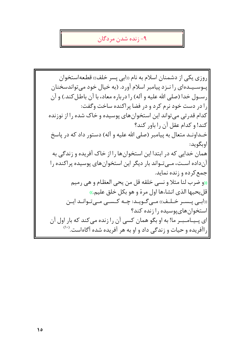#### - زنده شدن مردگان $-9$

روزي يكي از دشمنان اسلام به نام «ابي پسر خلف» قطعهاستخوان پـوسـیـدهای را نـزد پیامبر اسلام آورد. (به خیال خود می تواندسخنان رسول خدا (صلى الله عليه و آله) را درباره معاد، با آن باطل كند.) و آن را در دست خود نرم کرد و در فضا پراکنده ساخت وگفت: کدام قدرتی می تواند این استخوان های پوسیده و خاک شده را از نوزنده كند! و كدام عقل آن را باور كند؟ خـداونـد متعال به پیامبر (صلی الله علیه و آله) دستور داد که در پاسخ اوبگويد: همان خدایی که در ابتدا این استخوانها را از خاک آفریده و زندگی به آنداده اسـت، مـبي تـواند بار ديگر اين استخوان هاي پوسيده پراکنده را احمع کرده و زنده نماید. ((و ضرب لنا مثلا و نسي خلقه قل من يحي العظام و هي رميم قل يحيها الذي انشاءها اول مرة و هو بكل خلق عليم.)) ((ابنی پیسبر خیلیف)) میے گیویید: چنه کیسبی میے تیوانید ایین |استخوان های یوسیده را زنده کند؟ اي پـيـامـبـر ما! به او بگو همان كسي آن را زنده مي كند كه بار اول آن راآفریده و حیات و زندگی داد و او به هر آفریده شده آگاهاست.(۱۰)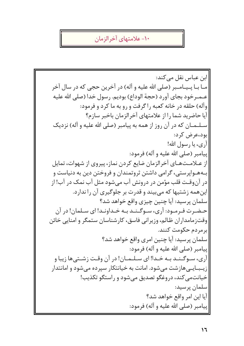### ۱۰- علامتهای آخرالزمان

ابن عباس نقل می کند: مـا بـا يـيـامـبر (صلى الله عليه و آله) در آخرين حجى كه در سال آخر عـمـرخود بجاي آورد (حجة الوداع) بوديم. رسول خدا (صلى الله عليه وآله) حلقه در خانه كعبه راگرفت و رو به ما كرد و فرمود: آيا حاضريد شما را از علامتهاى آخرالزمان باخبر سازم؟ سلهمان که در آن روز از همه به پیامبر (صلی الله علیه و آله) نزدیک ابود،عرض کرد: |آرى، يا رسول الله! ٰ پيامبر (صلى الله عليه و آله) فرمود: از عــلامــتـهــاي آخرالزمان ضايع كردن نماز، پيروي از شهوات، تمايل بـههـوايرستي، گرامي داشتن ثروتمندان و فروختن دين به دنياست و در آنوقـت قلب مؤمن در درونش آب مے،شود مثل آب نمک در آب! از |این همه زشتیها که می بیند و قدرت بر جلوگیری آن را ندارد. |سلمان پرسید: آیا چنین چیزی واقع خواهد شد؟ حـضـرت فـرمـود: آرى، سـوگـنـد بـه خـداونـد! اى سـلمان! در آن وقتزمامداران ظالم، وزيراني فاسق، كارشناسان ستمگر و امنايي خائن |برمردم حكومت كنند. سلمان پرسید: آیا چنین امری واقع خواهد شد؟ |پیامبر (صلی الله علیه و آله) فرمود: آري، سـوگــنــد بــه خــدا! اي ســلــمــان! در آن وقـت زشــتي ها زيبا و زیبیایے مازشت مے شود. امانت به خیانتکار سیرده مے شود و امانتدار خیانتمی کند، دروغگو تصدیق می شود و راستگو تکذیب! اسلمان پرسید: آيا اين امر واقع خواهد شد؟ |پيامبر (صلى الله عليه و آله) فرمود: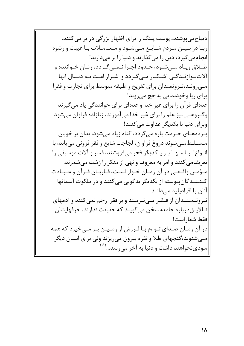|دیباج می پوشند، پوست پلنگ را برای اظهار بزرگی در بر می کنند. اربـا در بـیـن مـردم شـایـع مـی شـود و مـعـامـلات بـا غیبت و رشوه انجامهی گیرد، دین را میگذارند و دنیا را بر میدارند! طبلاق زیباد می شبود، حیدود اجبرا نیمبی گیردد، زنبان خبواننده و آلاتنوازندگی آشکار میگردد و اشرار امت به دنبال آنها |مهیرونـد،ثـروتمندان برای تفریح و طبقه متوسط برای تجارت و فقرا ابرای ریا وخودنمایی به حج می روند! عدهای قرآن را برای غیر خدا و عدهای برای خوانندگی یاد میگیرند اوگــروهــی نیز علم را برای غیر خدا می آموزند، زنازاده فراوان می شود وبرای دنیا یا یکدیگر عداوت مے کنند! یـردههـای حـرمت یاره می گردد، گناه زیاد می شود، بدان بر خوبان مسسلطمي شوند دروغ فراوان، لجاجت شايع و فقر فزوني مي يابد، با انبواع ليبـاسـهـا بير يـكديگر فخر مىفروشند، قمار و آلات موسيقى را تعریف می کنند و امر به معروف و نهی از منکر را زشت می شمرند. مئومن واقتعني در أن زمنان خنوار است، قنارينان قنرأن و عنبنادت کـنـنـدگان پیوسته از یکدیگر بدگویی می کنند و در ملکوت آسمانها |آنان , ا افر ادیلید مے دانند. |ثیروتیمینیدان از فیقیر میےتیرسند و بر فقرا رحم نمی کنند و آدمهای نـالايــقدرباره جامعه سخن مى گويند كه حقيقت ندارند، حرفهايشان |فقط شعار است! |در آن زمـان صـداي تـواءم بـا لـرزش از زمـيـن بـر مـيخيزد كه همه |مــیشنوند،گنجهای طلا و نقره بیرون میریزند ولی برای انسان دیگر |سودینخواهند داشت و دنیا به آخر می رسد...<sup>(۱۱)</sup>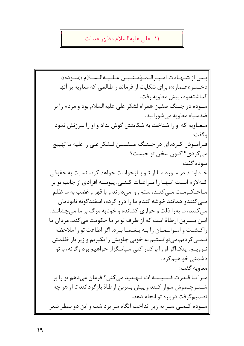١١- على عليهالسلام مظهر عدالت

يىس از شىهيادت اميير الىمىؤمىنىيىن عىلىيىەالىسىلام ((سىودە)) دخـتـر ((عـماره)) براي شكايت از فرماندار ظـالمي كه معاويه بر آنها گماشتهبود، پیش معاویه رفت. سوده در جهنگ صفین همراه لشکر علی علیهالسلام بود و مردم را بر ضدسیاه معاویه میشورانید. معاویه که او را شناخت به شکایتش گوش نداد و او را سرزنش نمود وگفت: فـرامـوش كـردهاي در جـنـگ صـفـيـن لـشكر على را عليه ما تهييج مي کر دي؟اکنون سخن تو چيست؟ سوده گفت: خـداونـد در مـورد مـا از تـو بـازخواست خواهد کرد، نسبت به حقوقی کـهلازم اسـت آنـهـا را مـراعـات کـنــی. پیوسته افرادی از جانب تو بر |مباحیک ومت ملی کنند، ستم روا می دارند و با قهر و غضب به ما ظلم |مبی کنندو همانند خوشه گندم ما را درو کرده، اسفندگونه نابودمان |می کنند، ما بهرا ذلت و خواری کشانده و خونابه مرگ بر ما می چشانند. ایـن بـسربن ارطاة است که از طرف تو بر ما حکومت می کند، مردان ما راكشت وامبوالبميان رابيه يبغيميا ببرد. اگر اطاعت تو را ملاحظه نهی کردیم،می توانستیم به خوبی جلویش را بگیریم و زیر بار ظلمش نـرویــم. اینکاگر او را بر کنار کنبی سیاسگزار خواهیم بود وگرنه، با تو دشمنی خواهیم کرد. معاويه گفت: میرا بیا قیدرت قیبییلیه ات تیهیدید می کنی؟ فرمان می دهم تو را بر شـتـرچـموش سوار كنند و پیش بسربن ارطاة بازگردانند تا او هر چه تصمیم گرفت درباره تو انجام دهد. |سـوده کـمـی سـر به زیر انداخت آنگاه سر برداشت و این دو سطر شعر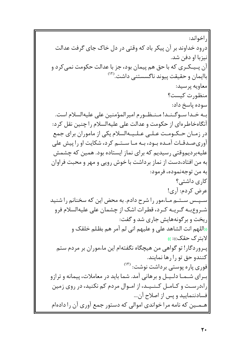, اخواند: درود خداوند بر آن پیکر باد که وقتی در دل خاک جای گرفت عدالت انيزبا او دفن شد. آن پـیـکـری که با حق هم پیمان بود، جز با عدالت حکومت نمی کرد و باایمان و حقیقت پیوند ناگسستنی داشت.<sup>(۱۲</sup> معاويه پرسيد: |منظورت كيست؟ سوده ياسخ داد: بـه خـدا سـوگـنـد! مـنـظـورم اميرالمؤمنين على عليهالسلام است. آنگاهخاطرهای از حکومت و عدالت علی علیهالسلام را چنین نقل کرد: در زمـان حـكـومـت عـلـى عـلـيـهالسلام يكى از ماموران براى جمع آوری صدقیات آمیده بیود، بیه میا سیتیم کرد، شکایت او را پیش علی علیهبردیم,وقتی رسیدیم که برای نماز ایستاده بود. همین که چشمش به من افتاد،دست از نماز برداشت با خوش رویی و مهر و محبت فراوان به من توجهنموده، فرمود: کاری داشتے ؟ عرض كردم: آري! سـپـس سـتـم مـاءمور را شرح دادم. به محض این که سخنانم را شنید شـروع بـه گـريـه كـرد، قطرات اشك از چشمان على عليهالسلام فرو [ریخت و بر گونههایش جاری شد و گفت: ((اللهم انت الشاهد على و عليهم اني لم آمر هم بظلم خلقک و |لایترک حقک)): )) |پـروردگار! تو گواهي من هيچگاه نگفتهام اين ماءموران بر مردم ستم كنندو حق تو را رها نمايند. فوری پاره پوستی برداشت نوشت: <sup>(۱۳)</sup> بیرای شیمیا دلیپیل و برهانی آمد. شما باید در معاملات، پیمانه و ترازو را،درست و کـامـل کـنـیـد، از امـوال مردم کم نکنید، در روی زمین |فسادننماييد و پس از اصلاح آن... |هــمــين كه نامه مرا خواندي اموالي كه دستور جمع آوري آن را دادهام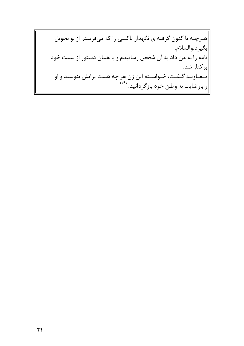|هـرچـه تا كنون گرفتهاي نگهدار تاكسي را كه ميفرستم از تو تحويل |بگيرد.والسلام. |نامه را به من داد به آن شخص رسانیدم و با همان دستور از سمت خود بركنار شد. |مـعـاويـه گـفـت: خـواسـته اين زن هر چه هست برايش بنوسيد و او |رابارضایت به وطن خود بازگردانید. <sup>(۱۴)</sup>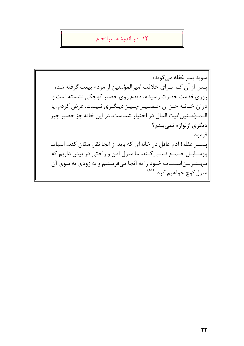١٢- در انديشه سرانجام

|سويد پسر غفله مي گويد: ايــس از آن كــه بــراي خلافت اميرالمؤمنين از مردم بيعت گرفته شد، روزیخدمت حضرت رسیدم، دیدم روی حصیر کوچکی نشسته است و درآن خـانــه جـز آن حـصـيـر چـيـز ديـگـرى نـيست. عرض كردم: يا الـمـؤمـنين!بيت المال در اختيار شماست، در اين خانه جز حصير چيز دیگری ازلوازم نمی بینم؟ |فرمود: پسسر غفله! آدم عاقل در خانهای که باید از آنجا نقل مکان کند، اسباب ووسـايـل جـمـع نـمـى كـند، ما منزل امن و راحتى در پيش داريم كه |بسهستـریــن|ســبــاب خــود را به آنجا میفرستیم و به زودی به سوی آن |منزل کوچ خواهیم کرد. <sup>(۱۵</sup>)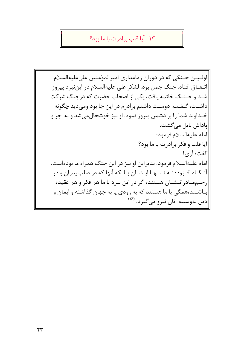### ١٣ -آيا قلب پر ادرت يا ما پود؟

اوليين جينگي كه در دوران زمامداري اميرالمؤمنين علىعليهالسلام اتــفــاق افتاد، جنگ جمل بود. لشکر علی علیهالسلام در این نبر د پیروز شید و جینیگ خاتمه یافت، یکی از اصحاب حضرت که درجنگ شرکت داشـت، گـفـت: دوسـت داشتم برادرم در این جا بود ومی دید چگونه خـداوند شما را بر دشمن پیروز نمود. او نیز خوشحال می شد و به اجر و پاداش نایل میگشت. امام عليهالسلام فرمود: آيا قلب و فكر برادرت با ما بود؟ گفت: آري! امام علیهالسلام فرمود: بنابراین او نیز در این جنگ همراه ما بودهاست. آنـگـاه افـزود: نـه تـنـهـا ايـشـان بـلـكه آنها كه در صلب يدران و در |, حــممــاد, انــشــان هستند، اگر در این نبرد با ما هم فکر و هم عقیده |بـاشــند،همگی با ما هستند که به زودی پا به جهان گذاشته و ایمان و |دین بهوسیله آنان نیرو میگیرد. <sup>(۱۶</sup>)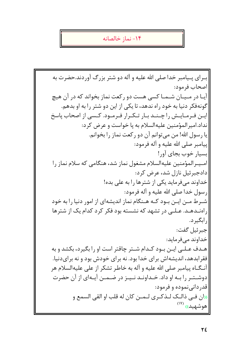#### ١۴- نماز خالصانه

بـراي پـيامبر خدا صلى الله عليه و آله دو شتر بزرگ آوردند.حضرت به |اصحاب فرمود: آییا در میپیان شیمیا کسی هست دو رکعت نماز بخواند که در آن هیچ گونهفکر دنیا به خود راه ندهد، تا یکی از این دو شتر را به او بدهم. ایـن فـرمـایـش راچـنـد بـار تـكـرار فـرمـود. كـسى از اصحاب پاسخ نداد.امیر المؤمنین علیهالسلام به پا خواست و عرض کرد: يا رسول الله! من مي توانم آن دو ركعت نماز را بخوانم. پيامبر صلى الله عليه و آله فرمود: |بسيار خوب بجاي آور! امىيىر المؤمنين عليهالسلام مشغول نماز شد، هنگامى كه سلام نماز را دادجبرئیل نازل شد، عرض کرد: خداوند مے فرماید یکے از شترها را به علی بده! |رسول خدا صلى الله عليه و آله فرمود: |شیرط مین ایین بیود کیه هینگام نماز اندیشهای از امور دنیا را به خود راهنـدهـد. عـلـی در تشهد که نشسته بود فکر کرد کدام یک از شترها , ابگیر د. جبرئيل گفت: خداوند میفرماید: هـدف عـلـی ایـن بـود کـدام شـتر چاقتر است او را بگیرد، بکشد و به فقر ابدهد، اندیشهاش برای خدا بود. نه برای خودش بود و نه برایدنیا. آنـگـاه پيامبر صلى الله عليه و آله به خاطر تشكر از على عليهالسلام هر دوشـتـر را بـه او داد. خـداونـد نـيـز در ضـمـن آيـهاى از آن حضرت اقدر دانے نموده و فرمود: الله في ذاليك للذكترى للمين كان له قلب او القي السمع و هوشهيد» (۱۷)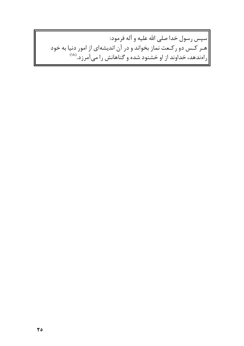|سپس رسول خدا صلى الله عليه و آله فرمود: ||هـر کـس دو رکـعت نماز بخواند و در آن اندیشهای از امور دنیا به خود<br>||راهندهد، خداوند از او خشنود شده و گناهانش را میآمرزد.<sup>(۱۸</sup>)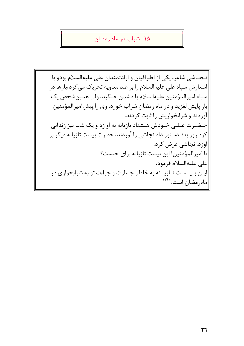۱۵- شراب در ماه رمضان

نجاشی شاعر، یکی از اطرافیان و ارادتمندان علی علیهالسلام بودو با اشعارش سیاه علی علیهالسلام را بر ضد معاویه تحریک می کرد،بارها در |سياه اميرالمؤمنين عليهالسلام با دشمن جنگيد، ولي همين شخص يک بار پایش لغزید و در ماه رمضان شراب خورد. وی را پیش|میرالمؤمنین آوردند و شرابخواریش را ثابت کردند. حـضـرت عـلـی خـودش هـشتاد تازیانه به او زد و یک شب نیز زندانی کرد.روز بعد دستور داد نجاشی را آوردند، حضرت بیست تازیانه دیگر بر اوزد. نجاشی عرض کرد: يا اميرالمؤمنين! اين بيست تازيانه براي چيست؟ |على عليه|لسلام فرمود: |ایــن بــیــسـت تــازیــانه به خاطر جسارت و جراءت تو به شرابخواری در |ماهرمضان است. (<sup>١٩)</sup>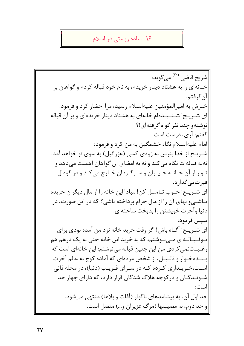۱۶– ساده زیستی در اسلام

|شريح قاضي <sup>(۲۰)</sup> مي گويد: خــانهای را به هشتاد دینار خریدم، به نام خود قباله کردم و گواهان بر آن گرفتم. خبرش به اميرالمؤمنين عليهالسلام رسيد، مرا احضار كرد و فرمود: ای شـریـح! شـنـیـدهام خانهای به هشتاد دینار خریدهای و بر آن قباله نوشتهو چند نفر گواه گرفتهای!؟ گفتم: آری، درست است. امام علیهالسلام نگاه خشمگین به من کرد و فرمود: شــریــح از خدا بترس به زودی کسی (عزرائیل) به سوی تو خواهد آمد. نهبه قبالهات نگاه می کند و نه به امضای آن گواهان اهمیت می دهد و تـو رااز آن خـانـه حـيـران و سـرگـردان خـارج مي كند و در گودال |قبر تمے گذار د. |ای شـریـح! خـوب تـاءمـل کن! مبادا این خانه را از مال دیگران خریده باشی و بهای آن را از مال حرام پرداخته باشی؟ که در این صورت، در دنیا وآخرت خویشتن را بدبخت ساختهای. |سيس فرمود: ای شـریـح! آگـاه باش! اگر وقت خرید خانه نزد من آمده بودی برای تـوقـبـالـهاي مـينوشتم، كه به خريد اين خانه حتى به يک درهم هم رغـبـتنمى كردى من اين چنين قباله مىنوشتم: اين خانهاى است كه بىنىدەخىوار و ذلىيىل، از شخص مردەاي كە آمادە كوچ بە عالم آخرت است،خـریـداری کـرده کـه در سـرای فـریـب (دنیا)، در محله فانی شـونـدگـان و در کوچه هلاک شدگان قرار دارد، که دارای چهار حد است: حد اول آن، به پیشامدهای ناگوار (آفات و بلاها) منتهی میشود. و حد دوم، به مصیبتها (مرگ عزیزان و...) متصل است.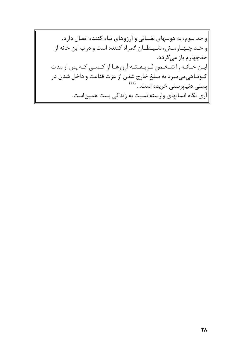و حد سوم، به هوسهای نفسانی و آرزوهای تباه کننده اتصال دارد. و حـد چـهـارمـش، شـيـطـان گمراه كننده است و درب اين خانه از |حدچهارم باز میگردد. ایین خیانیه را شخص فیرییفتیه آرزوهیا از کیسی کیه پس از مدت |کـوتـاهىمىميرد به مبلغ خارج شدن از عزت قناعت و داخل شدن در |پستی دنیاپرستی خریده است... <sup>(۲۱)</sup> آری نگاه انسانهای وارسته نسبت به زندگی پست همیناست.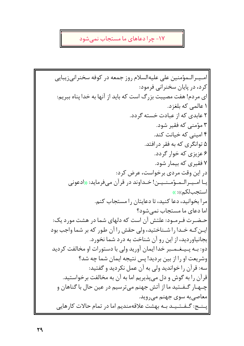## ۱۷- چرا دعاهای ما مستجاب نمیشود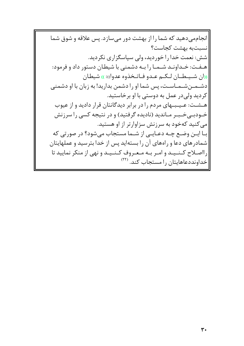|انجاممی دهید که شما را از بهشت دور میسازد. پس علاقه و شوق شما انسبتبه بهشت كجاست؟ |شش: نعمت خدا را خوردید، ولی سپاسگزاری نکردید. هـفـت: خـداونـد شـمـا را بـه دشمنى با شيطان دستور داد و فرمود: ((ان شييطـان لـكـم عـدو فـاتـخذوه عدوا)): )) شيطان |دشــمــن شــمــاســت، پس شما او را دشمن بداريد! به زبان با او دشمني کردید ولی در عمل به دوستی با او برخاستید. هسشت: عـیـبـهای مردم را در برابر دیدگانتان قرار دادید و از عیوب خـودبـی خـبـر مـاندید (نادیده گرفتید) و در نتیجه کسی را سرزنش می کنید کهخود به سرزنش سزاوارتر از او هستید. با ايـن وضـع چـه دعـايـى از شـما مستجاب مىشود؟ در صورتى كه |شمادرهای دعا و راههای آن را بستهاید پس از خدا بترسید و عملهایتان رااصلاح كـنـيـد و امـر بـه مـعـروف كـنـيـد و نهى از منكر نماييد تا |خداونددعاهایتان را مستجاب کند. <sup>(۲۲</sup>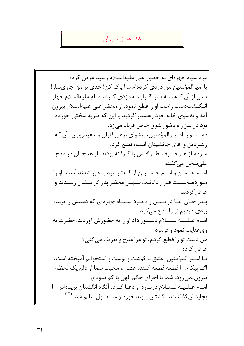#### ١٨- عشق سوزان

مرد سياه چهرهاي به حضور على عليهالسلام رسيد عرض كرد: يا امير المؤمنين من دزدي كردهام مرا ياك كن! حدى بر من جاريساز! یس از آن کـه سـه بـار اقـرار بـه دزدی کـرد، امـام علیهالسلام چهار انـگــشت دست راست او را قطـع نمود. از محضر على عليهالسلام بيرون آمد و بهسوی خانه خود رهسپار گردید با این که ضربه سختی خورده بود در بین راه باشور شوق خاص فریاد میزد: دسـتـم را امـيـرالمؤمنين، پيشواي پرهيزگاران و سفيدرويان، آن كه رهبردین و آقای جانشینان است، قطع کرد. مردم از هـر طـرف اطـرافـش راكرفته بودند، او همچنان در مدح |علي سخن مي گفت. امیام حسین و امیام حسیین از گیفتار مرد با خبر شدند آمدند او را مبور دمـحـبـت قـرار دادنـد، سـیس محضر یدر گرامیشان رسیدند و عرض کردند: |پـدر جـان! مـا در بـیـن راه مـرد سـیـاه چهرهای که دستش را بریده بودي،ديديم تو را مدح مي كرد. امـام عـلـيـهالـسـلام دسـتور داد او را به حضورش آوردند. حضرت به وي عنايت نمود و فرمود: من دست تو را قطع کردم، تو مرا مدح و تعریف می کنی؟ عرض کرد: يـا امـير المؤمنين! عشق با گوشت و يوست و استخوانم آميخته است، اگ رییکرم را قطعه قطعه کنند، عشق و محبت شما از دلم یک لحظه بيرون نمي رود. شما با اجراي حكم الهي پا كم نمودي. امبام عبلیهالیسیلام دربیاره او دعیا کبرد، آنگاه انگشتان بریدهاش را |بجایشانگذاشت، انگشتان پیوند خورد و مانند اول سالم شد. <sup>(۲۳)</sup>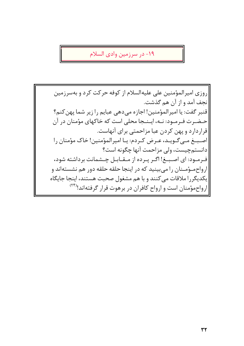1۹- در سرزمین وادی السلام

روزی امیرالمؤمنین علی علیهالسلام از کوفه حرکت کرد و بهسرزمین نجف آمد و از آن هم گذشت. قنبر گفت: یا امیرالمؤمنین! اجازه میدهی عبایم را زیر شما پهن کنم؟ حـضـرت فـرمـود: نـه، ايـنـجا محلى است كه خاكهاى مؤمنان در آن قراردارد و پهن كردن عبا مزاحمتي براي آنهاست. |اصبغ مےگوید، عرض کردم: یا امیرالمؤمنین! خاک مؤمنان را دانستم چیست، ولی مزاحمت آنها چگونه است؟ |فـرمـود: ای اصـبــغ! اگـر پـرده از مـقــابـل چــشمانت برداشته شود، ارواح موه ان را می بینید که در اینجا حلقه حلقه دور هم نشستهاند و |یکدیگررا ملاقات می کنند و با هم مشغول صحبت هستند، اینجا جایگاه |ارواحمؤمنان است و ارواح کافران در برهوت قرار گرفتهاند!(۲۴)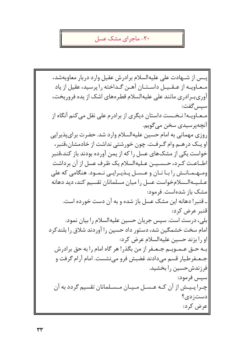#### ۲۰– ماجر ای مشک عسل

يس از شـهادت على عليهالسلام برادرش عقيل وارد دربار معاويهشد، مبعباوييه از عبقيبيل داسيتيان آهين گيداخته را پرسيد، عقبل از ياد آوریبرادری مانند علی علیهالسلام قطرههای اشک از یده فروریخت، سيس گفت: مـعـاویــه! نـخــست داستان دیگری از برادرم علی نقل می کنم آنگاه از آنچەپرسيدى سخن مىگويم. روزی مهمانی به امام حسین علیهالسلام وارد شد. حضرت برای پذیرایی او یــک درهــم وام گــرفـت. چون خورشتی نداشت از خادمشان،قنبر، خواست یکی از مشک\$عای عسل را که از یمن آورده بودند باز کند،قنبر اطــاعــت كــرد، حــســيــن عــليهالسلام يك ظـرف عسل از آن برداشت ومبهبمبانیش را بیا نیان و عیسیل پیذیبرایی نیمبود. هنگامی که علی عـلـيـهالـسلامخواست عسل را ميان مسلمانان تقسيم كند، ديد دهانه |مشک باز شدهاست. فرمود: ـ قنبر! دهانه این مشک عسل باز شده و به آن دست خورده است. قنير عرض كرد: بلي، درست است. سپس جريان حسين عليهالسلام را بيان نمود. امام سخت خشمگین شد، دستور داد حسین را آوردند شلاق را بلندکرد او را بزند حسين عليهالسلام عرض كرد: بـه حـق عـمـويــم جـعـفر از من بگذر! هر گاه امام را به حق برادرش جـعـفر طيار قسم مے دادند غضبش فرو مے نشست. امام آرام گرفت و فرزندش حسین را بخشید. سيس فرمود: چـرا پـیـش از آن کـه عـسـل مـیـان مـسـلمانان تقسیم گردد به آن  $\mathcal{E}_{\mathcal{L}}$ دست; دی عرض کرد: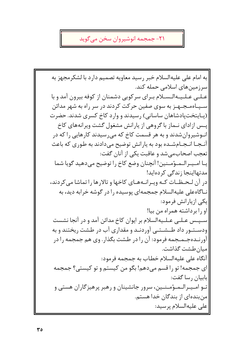## ٢١- جمجمه انوشيروان سخن مي گويد

به امام على عليهالسلام خبر رسيد معاويه تصميم دارد با لشكرمجهز به |سرزمینهای اسلامی حمله کند. عـلـی عـلـیـهالـسـلام بـرای سرکوبی دشمنان از کوفه بیرون آمد و با سـپـاهمـجـهـز به سوى صفين حركت كردند در سر راه به شهر مدائن (پیایتختپادشاهان ساسانی) رسیدند و وارد کاخ کسری شدند. حضرت پس ازادای نـماز با گروهی از پارانش مشغول گشت ویرانههای کاخ انـوشیروانشدند و به هر قسمت کاخ که میرسیدند کارهایی را که در آنـجـا انـجـامشـده بود به پارانش توضیح میدادند به طوری که باعث تعجب اصحاب می شد و عاقبت یکی از آنان گفت: يبا امـيـر الـمـؤمـنين! أنجنان وضع كاخ را توضيح مے دهيد گويا شما مدتھااینجا زندگے کردہاید! در آن لـحـظــات كــه ويـرانــههـاي كاخها و تالارها را تماشا مي كردند، نـاگاه علی علیهالسلام جمجمهای پوسیده را در گوشه خرابه دید، به ایکی ازیارانش فرمود: او را برداشته همراه من بيا! سـپـس عـلـی عـلـیهالسلام بر ایوان کاخ مدائن آمد و در آنجا نشست ودستور داد طـشـتـی آوردنـد و مقداری آب در طشت ریختند و به آورنـدهجـمـجمه فرمود: آن را در طشت بگذار. وی هم جمجمه را در |میان طشت گذاشت. آنگاه على عليهالسلام خطاب به جمجمه فرمود: ای جمجمه! تو را قسم میدهم! بگو من کیستم و تو کیستی؟ جمجمه |بابيان رسا گفت: تــو امــيــرالــمــؤمــنــين، سرور جانشينان و رهبر پرهيزگاران هستي و منبندهای از بندگان خدا هستم. على عليهالسلام پرسيد: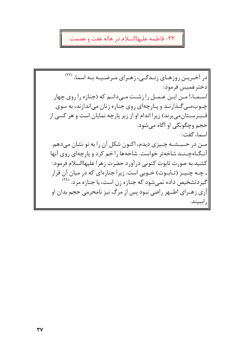### ٢٢- فاطمه عليهاالسلام در هاله عفت و عصمت

در آخـریـن روزهـای زنـدگـی، زهـرای مـرضـیـه بـه اسماء (\*\*) دختر عميس فرمود: اســمــاء! مــن ايــن عــمــل را زشــت مــے دانــم که (جنازه را روی چهار چـوبمـی گـذارنـد و پـارچهای روی جناره زنان می|ندازند، به سوی قـبـرسـتانمیبرند) زیرا اندام او از زیر پارچه نمایان است و هر کسی از حجم وچگونگی او آگاه میشود. اسماء گفت: مـن در حـبـشـه چـیزی دیدم، اکنون شکل آن را به تو نشان میدهم. آنـگـاهچـنـد شاخهتر خواست. شاخهها راخم کرد و پارچهای روی آنها كشيد.به صورت تابوت كنوني در آورد حضرت زهرا عليهاالسلام فرمود: ـ چـه چـیـز (تـابـوت) خـوبی است. زیرا جنازهای که در میان آن قرار |گیردتشخیص داده نمیٍشود که جنازه زن است، یا جنازه مرد. <sup>(۲۸</sup>) آري زهـراي اطــهر راضي نبود پس از مرگ نيز نامحرمي حجم بدان او راببيند.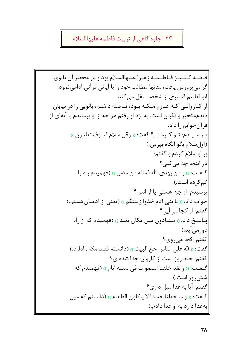# ۲۳- جلوه گاهی از تربیت فاطمه علیهاالسلام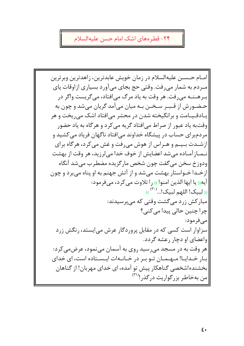#### ۲۴- قطر ههای اشک امام حسن علیهالسلام

|امـام حـسـن عليهالسلام در زمان خويش عابدترين، زاهدترين وبرترين میردم به شمار می رفت. وقتی حج بجای می آورد بسیاری ازاوقات پای ب رهـنـه می رفت. هر وقت به یاد مرگ می افتاد، می گریست واگر در حـضـورش از قـبـر سـخـن بـه ميان ميأمد گريان ميشد و چون به یبادقییامت و برانگیخته شدن در محشر میافتاد اشک می ریخت و هر وقتبه یاد عبور از صراط می|فتاد گریه می کرد و هرگاه به یاد حضور مردمبرای حساب در پیشگاه خداوند می|فتاد ناگهان فریاد میکشید و ازشـدت بـیـم و هـراس از هوش میرفت و غش میکرد، هرگاه برای نـمـازآمـاده مىشد اعضايش از خوف خدا مىلرزيد، هر وقت از بهشت ودوزخ سخن می گفت چون شخص مارگزیده مضطرب می شد آنگاه ازخـدا خـواستار بهشت می شد و از آتش جهنم به او پناه می برد و چون آيه(( يا ايها الذين امنوا )) , ا تلاوت مي كرد، مي فرمود: (( لبيک! اللهم لبيک!...<sup>(٣٠)</sup>)) |مبارکش زرد می گشت وقتی که می پرسیدند: جرا چنین حالی پیدا می کنی؟ |مىفرمود: سزاوار است کسی که در مقابل پروردگار عرش میایستد، رنگش زرد |واعضای او دچار رعشه گردد. هر وقت به در مسجد میرسید روی به آسمان مینمود، عرضمی کرد: بیار خیداییا! میهیمیان تیو بیر در خیانیهات ایسستاده است، ای خدای بخشنده!شخصی گناهکار پیش تو آمده، ای خدای مهربان! از گناهان |من بهخاطر بزرگواریت درگذر!<sup>(۳۱)</sup>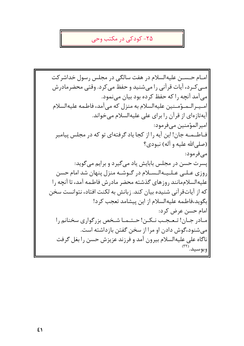#### ۲۵- کودکی در مکتب وحی

امـام حـسـن عليهالسلام در هفت سالگې در مجلس رسول خداشر کت |مــی کــرد، آیات قر آنی را میشنید و حفظ می کرد. وقتی محضرمادرش می آمد آنچه را که حفظ کرده بود بیان مینمود. اميير الىمىؤمىنين عليهالسلام به منزل كه مى آمد، فاطمه عليهالسلام آیهتازهای از قرآن را برای علی علیهالسلام می خواند. |اميرالمؤمنين ميفرمود: فــاطــمــه جان! این آیه را از کجا یاد گرفتهای تو که در مجلس پیامبر (صلىالله عليه و آله) نبودي؟ |مےفرمود: یسرت حسن در مجلس بابایش یاد می گیرد و برایم می گوید: روزی عـلـے عـلـیـهالـسـلام در گـوشـه منزل پنهان شد امام حسن عليه السلام مانند , وزهاى گذشته محضر ماد, ش فاطمه آمد، تا آنجه , ا که از آیاتقرآنی شنیده بیان کند. زبانش به لکنت افتاد، نتوانست سخن بگويد،فاطمه عليهالسلام از اين پيشامد تعجب كرد! امام حسن عرض کرد: |مـادر جـان! تـعـجـب نـكـن! حـتـمـا شـخص بزرگواري سخنانم را می شنود،گوش دادن او مرا از سخن گفتن بازداشته است. ناگاه علی علیهالسلام بیرون آمد و فرزند عزیزش حسن را بغل گرفت |وبوسيد.(٣٢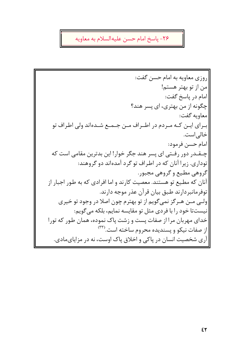# ٢۶- پاسخ امام حسن عليهالسلام به معاويه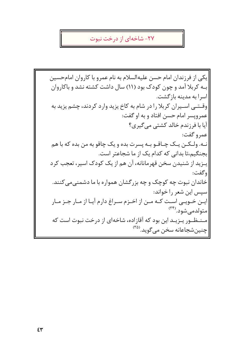### ۲۷- شاخهای از درخت نبوت

یکی از فرزندان امام حسن علیهالسلام به نام عمرو با کاروان امامحسین به کربلا آمد و چون کودک بود (۱۱) سال داشت کشته نشد و باکاروان اسرا به مدینه بازگشت. وقــتــی اســیران کربلا را در شام به کاخ یزید وارد کردند، چشم یزید به عمروپسر امام حسن افتاد و به او گفت: آيا با فرزندم خالد كشتى مى گيرى؟ عمرو گفت: نـه. ولـكـن يـك چـاقـو بـه پسرت بده و يک چاقو به من بده كه با هم بجنگیم،تا بدانی که کدام یک از ما شجاعتر است. يـزيد از شنيدن سخن قهرمانانه، آن هم از يک کودک اسير، تعجب کرد وگفت: خاندان نبوت چه کوچک و چه بزرگشان همواره با ما دشمنی می کنند. |سیس این شعر را خواند: |ایـن خـویـی اسـت کـه مـن از اخـزم سـراغ دارم آیـا از مـار جـز مـار امتولدمي شود.(٣۴) |مسنطور یهزید این بود که آقازاده، شاخهای از درخت نبوت است که |چنینشجاعانه سخن میگوید.<sup>(۳۵)</sup>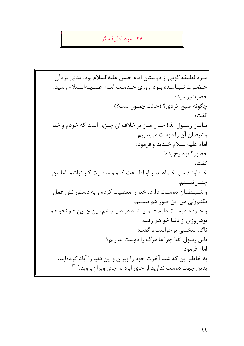## ٢٨- مرد لطيفه گو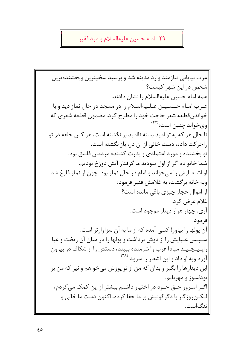# ۲۹- امام حسین علیهالسلام و مرد فقیر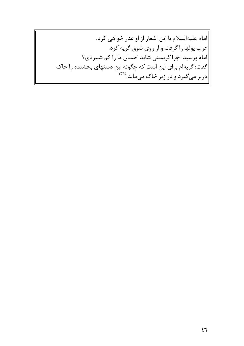امام عليهالسلام با اين اشعار از او عذر خواهي كرد. |عرب پولها را گرفت و از روی شوق گریه کرد. |امام پرسید: چرا گریستی شاید احسان ما را کم شمردی؟ |گفت: گریهام برای این است که چگونه این دستهای بخشنده را خاک ||دربر میگیرد و در زیر خاک میماند.<sup>(۳۹)</sup>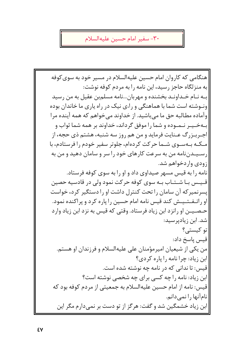٣٠- سفير امام حسين عليهالسلام

|هنگامی که کاروان امام حسین علیهالسلام در مسیر خود به سوی کوفه به منزلگاه حاجز رسید، این نامه را به مردم کوفه نوشت: بـه نـام خـداونـد بخشنده و مهربان...نامه مسلمبن عقيل به من رسيد ونـوشته است شما با هماهنگے و راءی نیک در راه پاری ما خاندان بوده وآماده مطالبه حق ما میباشید. از خداوند میخواهم که همه آینده مرا بـهخـیـر نـمـوده و شما را موفق گرداند، خداوند بر همه شما ثواب و اجـربـزرگ عـنايت فرمايد و من هم روز سه شنبه، هشتم ذي حجه، از مـکـه بـهسـوی شـما حرکت کردهام، جلوتر سفیر خودم را فرستادم، با رسـیـدننامه من به سرعت کارهای خود را سر و سامان دهید و من به ازودی واردخواهم شد. نامه را به قیس مسهر صیداوی داد و او را به سوی کوفه فرستاد. قـیـس بـا شـتـاب بـه سوی کوفه حرکت نمود ولی در قادسیه حصین |پسرنمیر که آن سامان را تحت کنترل داشت او را دستگیر کرد، خواست او راتـفـتـیـش کند قیس نامه امام حسین را یاره کرد و پراکنده نمود. حـصـيـن او رانزد ابن زياد فرستاد. وقتى كه قيس به نزد ابن زياد وارد شد. ابن زیادیرسید: تو کیستی؟ قيس ياسخ داد: من یکی از شیعیان امیرمؤمنان علی علیهالسلام و فرزندان او هستم. ابن زیاد: چرا نامه را یاره کردی؟ قیس: تا ندانی که در نامه چه نوشته شده است. ابن زیاد: نامه را چه کسی برای چه شخصی نوشته است؟ قيس: نامه از امام حسين عليهالسلام به جمعيتي از مردم كوفه بود كه نامآنها را نمیدانم. ابن زیاد خشمگین شد و گفت: هرگز از تو دست بر نمیدارم مگر این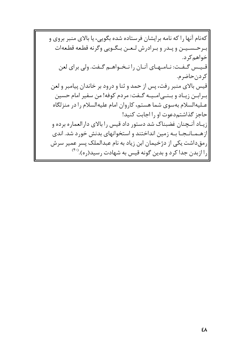کهنام آنها را که نامه برایشان فرستاده شده بگویی، یا بالای منبر بروی و بىرحىسىيىن وپىدر وبىرادرش لىعىن بىگىويى وگرنه قطعه قطعهات |خواهم کر د. قييس گيفت: نيامهاي أنيان را نخبواهيم گيفت. ولي براي لعن |كردنحاضرم. قیس بالای منبر رفت، پس از حمد و ثنا و درود بر خاندان پیامبر و لعن |بـرابـن زيـاد و بـنــى|مــيـه گــفت: مردم كوفه! من سفير امام حسين عـليهالسلام بهسوى شما هستم، كاروان امام عليهالسلام را در منزلگاه حاجز گذاشتهدعوت او را احایت کنید! |زیـاد آنـچنان غضبناک شد دستور داد قیس را بالای دارالعماره برده و |از هــمــانــجــا بــه زمين انداختند و استخوانهای بدنش خورد شد. اندی رمقداشت یکی از دژخیمان ابن زیاد به نام عبدالملک پسر عمیر سرش را ازبدن جدا کرد و بدین گونه قیس به شهادت رسید(ره).<sup>(۴۰)</sup>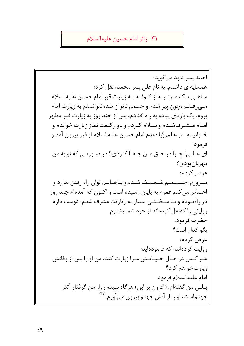٣١- زائر امام حسين عليهالسلام

احمد پسر داود مے گوید: همسایهای داشتم، به نام علی پسر محمد، نقل کرد: مباهبی پیک میرتیبیه از کیوفیه بیه زیارت قبر امام حسین علیهالسلام مـی رفـتـم،چون پیر شدم و جسمم ناتوان شد، نتوانستم به زیارت امام بروم. یک بارپای پیاده به راه افتادم، پس از چند روز به زیارت قبر مطهر امـام مـشـرفشـدم و سـلام كـردم و دو ركـعت نماز زيارت خواندم و خــوابيدم. در عالم٫رؤيا ديدم امام حسين عليهالسلام از قبر بيرون آمد و فر مود: ای عـلـی! چـرا در حـق مـن جـفـا کـردی؟ در صـورتـی که تو به من مهربان بودي؟ اعرض کردم: اسیرورم! جیسیمیم ضعییف شیده و پیاهیاییم توان راه رفتن ندارد و |احساس می کنم عمر م به پایان رسیده است و اکنون که آمدهام چند روز در راهبودم و بـا سـخـتــی بسیار به زیارتت مشرف شدم، دوست دارم روایتی را کهنقل کردهاند از خود شما بشنوم. حضرت فرمود: بگو كدام است؟ عرض كردم: روایت کردهاند، که فرمودهاید: هـر كـس در حـال حـيـاتـش مـرا زيارت كند، من او را پس از وفاتش |; یا<sub>د</sub>تخواهم کرد؟ امام عليهالسلام فرمود: بـلــي من گفتهام. (افزون بر اين) هرگاه ببينم زوار من گرفتار آتش جهنماست، او را از آتش جهنم بیرون میآورم. (۴۱)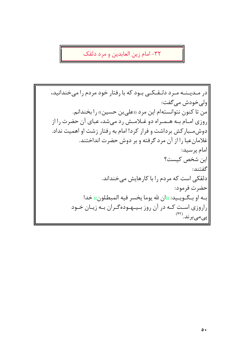٣٢- امام زين العابدين و مرد دلقک

|در مـديـنـه مـرد دلـقـكـي بـود كه با رفتار خود مردم را مىخندانيد، |ولي خودش مي گفت: من تا کنون نتوانستهام این مرد «علی بن حسین» را بخندانم. روزی امـام بـه هـمـراه دو غـلامـش رد میشد، عبای آن حضرت را از دوشمسبارکش برداشت و فرار کرد! امام به رفتار زشت او اهمیت نداد. غلامان عبا را از آن مرد گرفته و بر دوش حضرت انداختند. امام پرسید: |این شخص کیست؟ گفتند: دلقکی است که مردم را با کارهایش میخنداند. حضرت فرمود: |بـه او بـگـويـيد: «ان لله يوما يخسر فيه المبطلون» خدا راروزی است کـه در آن روز بـیـهودهگـران بـه زیـان خـود اپىمىبرند.(۴۲)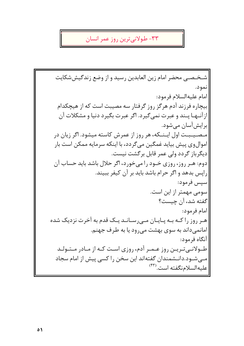### ٣٣- طولاني ترين روز عمر انسان

شـخـصـی محضر امام زین العابدین رسید و از وضع زندگیششکایت نمود. امام عليهالسلام فرمود: بیچاره فرزند آدم هرگز روز گرفتار سه مصیبت است که از هیچکدام از آنــهـا پــند و عبرت نمى گيرد. اگر عبرت بگيرد دنيا و مشكلات آن برايشآسان مي شود. مـصـیـبـت اول ایـنـکه، هر روز از عمرش کاسته میشود. اگر زیان در اموالوی پیش بیاید غمگین می5ردد، با اینکه سرمایه ممکن است بار دیگرباز گردد ولی عمر قابل برگشت نیست. دوم: هـر روز، روزي خـود را مي خورد، اگر حلال باشد بايد حساب آن رايس بدهد و اگر حرام باشد بايد بر آن كيفر ببيند. |سيس فرمود: سومی مهمتر از این است. گفته شد، آن چیست؟ |امام فرمود: هـر روز را كـه بـه پـايـان مـىرسـانـد يـك قدم به آخرت نزديک شده امانمیداند به سوی بهشت میرود یا به طرف جهنم. |آنگاه فرمود: طـولانـی تـریـن روز عـمـر آدم، روزی اسـت کـه از مـادر مـتـولـد |مـےشـود.دانـشمندان گفتهاند این سخن را کسی پیش از امام سجاد |عليه|لسلامنگفته است.(۴۳)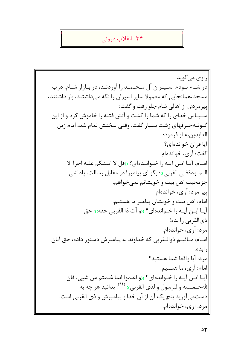# ۳۴- انقلاب درونی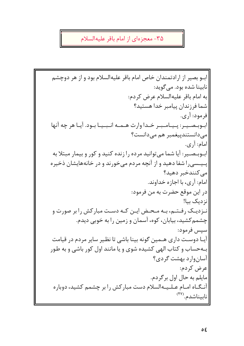## ۳۵- معجزهای از امام باقر علیهالسلام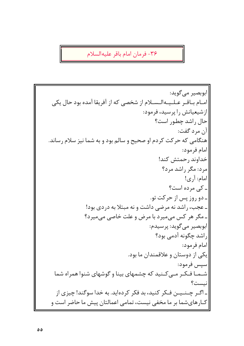٣۶- فرمان امام باقر عليهالسلام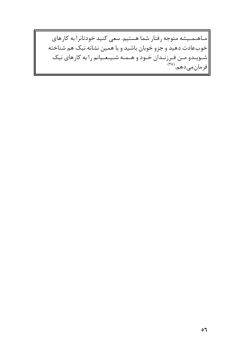|مـاهـمـيشه متوجه رفتار شما هستيم. سعى كنيد خودتانرا به كارهاى خوبعادت دهید و جزو خوبان باشید و با همین نشانه نیک هم شناخته ||شـویـدو مـن فـرزنـدان خـود و هـمـه شـیـعـیانم را به کارهای نیک<br>||فرمانمی۵هم.<sup>(۴۸)</sup>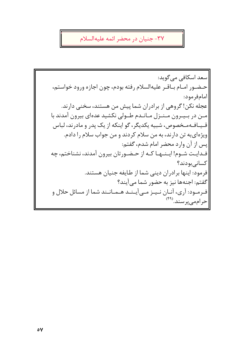#### ٣٧- جنيان در محضر ائمه عليهالسلام

|سعد اسکافی می گوید: حضور امام باقر عليهالسلام رفته بودم، چون اجازه ورود خواستم، |امامفرمود: عجله نکن! گروهی از برادران شما پیش من هستند، سخنی دارند. مـن در بـيـرون مـنـزل مـانـدم طـولى نكشيد عدهاى بيرون آمدند با قـيـافـهمـخصوص، شبيه يكديگر، گو اينكه از يک پدر و مادرند، لباس ویژهای به تن دارند، به من سلام کردند و من جواب سلام را دادم. پس از آن وارد محضر امام شدم، گفتم: |فـدايـت شـوم! ايـنــهـا كـه از حـضـورتان بيرون آمدند، نشناختم، چه كسانى بودند؟ فرمود: اینها برادران دینی شما از طایفه جنیان هستند. گفتم: اجنهها نيز به حضور شما مي آيند؟ |فـرمـود: آرى، آنـان نـيـز مـىآيـنـد هـمـانـند شما از مسائل حلال و حرام می پر سند.<sup>(۴۹)</sup>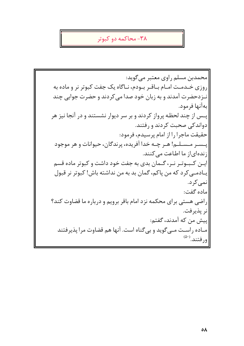## ۳۸- محاکمه دو کبوتر

محمدبن مسلم راوي معتبر مي گويد: روزی خـدمـت امـام بـاقـر بـودم، نـاگاه یک جفت کبوتر نر و ماده به نیزدحضرت آمدند و به زبان خود صدا می کردند و حضرت جوابی چند بهآنها فرمود. پــس از چند لحظـه پرواز کردند و بر سر دیوار نشستند و در آنجا نیز هر دواندکی صحبت کردند و رفتند. حقيقت ماجرا را از امام پرسيدم، فرمود: پــســر مــســلــم! هــر چــه خدا آفريده، پرندگان، حيوانات و هر موجود زندهای|ز ما اطاعت می کنند. ایین کیبیوتیر نیر، گیمان بدی به جفت خود داشت و کبوتر ماده قسم يــادمــي كرد كه من ياكم، گمان بد به من نداشته باش! كبوتر نر قبول نمے کر د. ماده گفت: راضی هستی برای محکمه نزد امام باقر برویم و درباره ما قضاوت کند؟ |نر يذير فت. ِييش من كه آمدند، گفتم: مـاده راسـت مــىگويد و بىگناه است. آنها هم قضاوت مرا پذيرفتند ورفتند.(۵۰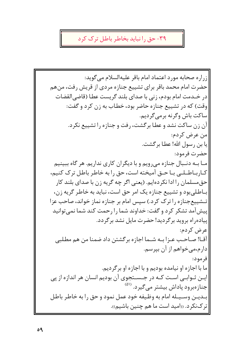## ۳۹- حق را نباید بخاطر باطل ترک کرد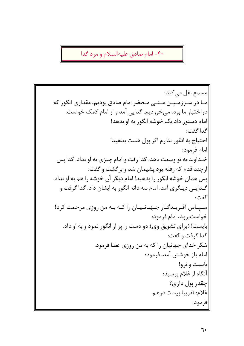۴۰- امام صادق علیهالسلام و مرد گدا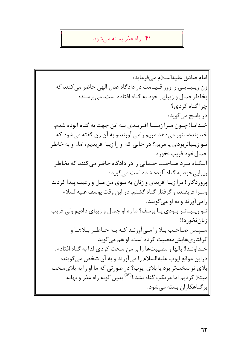#### ۴۱– راه عذر بسته می شود

|امام صادق عليه|لسلام مي فرمايد: زن زیـبـایـی را روز قـیـامت در دادگاه عدل البهی حاضر می کنند که بخاطرجمال و زیبایی خود به گناه افتاده است، می پرسند: چراگناه کردی؟ در پاسخ میگوید: خـدايــا! چــون مــرا زيــبــا آفــريــدى بــه اين جهت به گناه آلوده شدم. خداونددستور میدهد مریم رامی آورند،و به آن زن گفته می شود که تـو زیـباتربودی یا مریم؟ در حالی که او را زیبا آفریدیم، اما، او به خاطر جمال خود فريب نخورد. آنیگیاه میرد صیاحیب جیمالی را در دادگاه حاضر می کنند که بخاطر زیبایے خود به گناه آلوده شده است مے گوید: ايروردگارا! مرا زيبا آفريدي و زنان به سوي من ميل و رغبت پيدا كردند |ومـرا فريفتند و گرفتار گناه گشتم. در اين وقت پوسف عليهالسلام ر امي آورند و به او مي گويند: تـو زیـبـاتـر بـودی یـا پوسف؟ ما ره او جمال و زیبای دادیم ولی فریب |; نان نخو<sub>د</sub> د‼ سپیس صاحب بیلا را مے آورنید کیه بیه خیاطیر بیلاهیا و گرفتاری هایش معصیت کرده است. او هم میگوید: خـداونـدا! بالها و مصيبتـها را بر من سخت كردي لذا به گناه افتادم. دراین موقع ایوب علیهالسلام را میآورند و به آن شخص میگویند: بلای تو سختتر بود یا بلای ایوب؟ در صورتی که ما او را به بلایسخت مبتلا کردیم اما مرتکب گناه نشد.!<sup>(۵۳)</sup> بدین گونه راه عذر و بهانه برگناهکاران بسته میشود.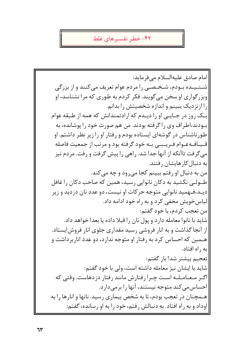#### ۴۲- خطر تفسیر های غلط

|امام صادق عليهالسلام ميفرمايد: شینییده بیودم، شیخیصبی را مردم عوام تعریف می کنند و از بزرگی وبزر گواری او سخن می گویند. فکر کردم به طوری که مرا نشناسد، او را ازنزدیک ببینم و اندازه شخصیتش را بدانم. یک روز در جـایـی او را دیـدم که ارادتمندانش که همه از طبقه عوام بودند،اطراف وی را گرفته بودند. من هم صورت خود را پوشانده، به طورناشناس در گوشهای ایستاده بودم و رفتار او را زیر نظر داشتم. او قـیـافـهعـوام فـریـبـی بـه خود گرفته بود و مرتب از جمعیت فاصله میگرفت تاآنکه از آنها جدا شد. راهی را پیش گرفت و رفت. مردم نیز به دنبال کار هایشان رفتند. امن به دنبال او رفتم ببينم كجا مي رود و چه مي كند. طــولــي نکشيد به دکان نانوايي رسيد، همين که صاحب دکان را غافل ديـد،فــهميد نانوايي متوجه حركات او نيست، دو عدد نان دزديد و زير الباس خويش مخفى كرد و به راه خود ادامه داد. |من تعجب كردم، با خود گفتم: شاید با نانوا معامله دارد و پول نان را قبلا داده یا بعدا خواهد داد. از آنجا گذاشت و به انار فروشی رسید مقداری جلوی انار فروش!پستاد. هـمین که احساس کرد به رفتار او متوجه ندارد، دو عدد اناربرداشت و به , اه افتاد. تعجبم بيشتر شد! باز گفتم: شاید با ایشان نیز معامله داشته است، ولی با خود گفتم: اگیر میعیامیلیه است چیرا رفتارش مانند رفتار دزدهاست. وقتی که احساس می کند متوجه نیستند، آنها را برمی دارد. هـمچنان در تعجب بودم، تا به شخص بیماری رسید. نانها و انارها را به اوداد و به راه افتاد. به دنبالش رفتم، خود را به او رسانده، گفتم: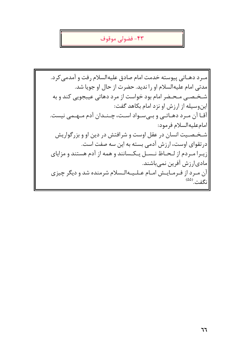### ۴۳- فضولی موقوف

مـرد دهـاتي پيوسته خدمت امام صادق عليهالسلام رفت و آمدمي كرد. مدتی امام علیهالسلام او را ندید. حضرت از حال او جویا شد. شخصی محضر امام بود خواست از مرد دهاتی عیبجویی کند و به اینوسیله از ارزش او نزد امام بکاهد گفت: آقـا آن مـرد دهـاتـي و بـيسـواد اسـت، چـنـدان آدم مـهـمي نيست. |امام عليه السلام فرمود: شخصیت انسان در عقل اوست و شرافتش در دین او و بزرگواریش درتقوای اوست، ارزش آدمی بسته به این سه صفت است. زيرا مردم از لحاظ نـسـل يـكـسانند و همه از آدم هستند و مزاياي |مادی|رزش آفرین نمی باشند. |آن میرد از فیرمیاییش امیام عیلییهالیسلام شرمنده شد و دیگر چیزی انگفت.<sup>(۵۵)</sup>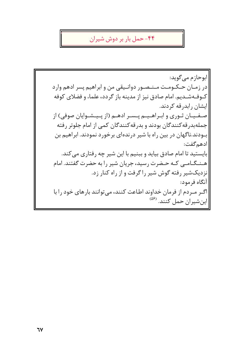#### ۴۴– حمل بار بر دوش شیران

|ابوحازم می گوید: در زمـان حـكـومـت مـنـصـور دوانـيقى من و ابراهيم پسر ادهم وارد کـوفـهشـدیم. امام صادق نیز از مدینه باز گردد، علماء و فضلای کوفه ایشان , اید, قه کردند. صفيان ثوري و ابراهييم پسر ادهم (از پيشوايان صوفي) از جملهبدرقه کنندگان بودند و بدرقه کنندگان کمی از امام جلوتر رفته بـودند.ناگهان در بین راه با شیر درندهای برخورد نمودند. ابراهیم بن ادهم گفت: بایستید تا امام صادق بیاید و ببنیم با این شیر چه رفتاری می کند. هـنـگـامـى كـه حـضرت رسيد، جريان شير را به حضرت گفتند. امام نزدیکشیر رفته گوش شیر را گرفت و از راه کنار زد. |آنگاه فرمود: اگیر میردم از فرمان خداوند اطاعت کنند، می توانند بارهای خود را با |اینشیران حمل کنند. <sup>(۵۶)</sup>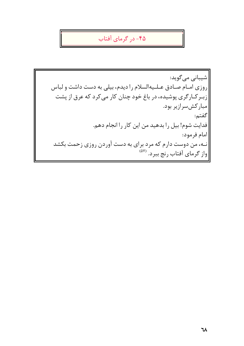## ۴۵- در گرمای آفتاب

|شیبانی میگوید: روزی امـام صـادق عـلـیهالسلام را دیدم، بیلی به دست داشت و لباس زبـر کـارگری پوشیده، در باغ خود چنان کار می کرد که عرق از پشت مباركش سرازير بود. گفتم: فدایت شوم! بیل را بدهید من این کار را انجام دهم. |امام فرمود: نه، من دوست دارم که مرد برای به دست آوردن روزی زحمت بکشد |واز گرمای آفتاب رنج ببرد. <sup>(۵۷</sup>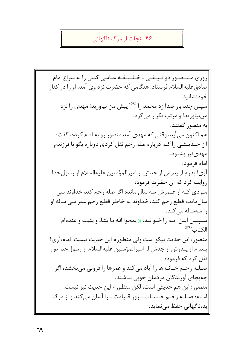#### ۴۶- نجات از مرگ ناگهانی

روزی مـنصور دوانـیـقـی ـ خـلـیـفـه عباسی کسی را به سراغ امام صادق علیهالسلام فرستاد. هنگامی که حضرت نزد وی آمد، او را در کنار خودنشانيد. سیس چند بار صدا زد محمد را <sup>(۵۸)</sup> پیش من بیاورید! مهدی را نزد منبیاورید! و مرتب تکرار می کرد. به منصور گفتند: هم اکنون می آید، وقتی که مهدی آمد منصور رو به امام کرده، گفت: آن حــديــثــي را كــه درباره صله رحم نقل كردي دوباره بگو تا فرزندم مهدىنيز بشنود. |امام فرمود: آري! پدرم از پدرش از جدش از اميرالمؤمنين عليهالسلام از رسول خدا ل وایت کرد که آن حضرت فرمود: مـردي كـه از عـمرش سه سال مانده اگر صله رحم كند خداوند سي سال مانده قطع رحم کند، خداوند به خاطر قطع رحم عمر سی ساله او را سەسالە مى كند. سـپـس ايــن آيــه را خــوانــد: (( يمحوا الله ما يشاء و يثبت و عندهام الكتاب<sup>(۵۹)</sup> منصور: این حدیث نیکو است ولی منظورم این حدیث نیست. امام:آری! پـدرم از پـدرش از جدش از امیرالمؤمنین علیهالسلام از رسولخدا ص نقل کړ د که فرمود: صـلـه رحـم خـانـهها را آباد مى كند و عمرها را فزونى مىبخشد، اگر چەبجاي آورندگان مردمان خوبي نباشند. منصور: اين هم حديثي است، لكن منظورم اين حديث نيز نيست. امـام: صـلـه رحـم حـسـاب ـ روز قـيامت ـ را آسان مى كند و از مرگ |بد،ناگهانی حفظ می نماید.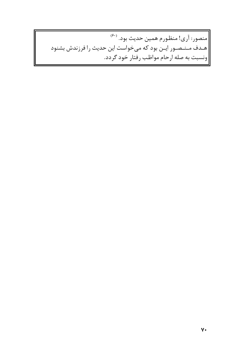|منصور: آري! منظورم همين حديث بود. <sup>(۶۰)</sup> |هـدف مـنـصـور ايـن بود كه مىخواست اين حديث را فرزندش بشنود ||ونسبت به صله ارحام مواظب رفتار خود گردد.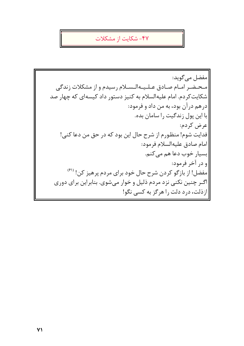#### ۴۷- شکایت از مشکلات

|مفضل می گوید: محضر امام صادق عليهالسلام رسيدم و از مشكلات زندگي شکایت کردم. امام علیهالسلام به کنیز دستور داد کیسهای که چهار صد درهم درآن بود، به من داد و فرمود: با این پول زندگیت را سامان بده. |عرض كردم: فدایت شوم! منظورم از شرح حال این بود که در حق من دعا کنی! امام صادق عليهالسلام فرمود: |بسیار خوب دعا هم میکنم. |و در آخر فرمود: |مفضل! از بازگو کردن شرح حال خود برای مردم پرهیز کن! <sup>(۶۱)</sup> |اگـر چنین نکنی نزد مردم ذلیل و خوار میشوی. بنابراین برای دوری |ازذلت، درد دلت را هرگز به کسی نگو!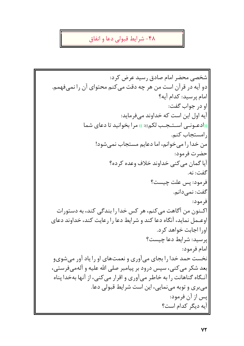## ۴۸- شرایط قبولی دعا و انفاق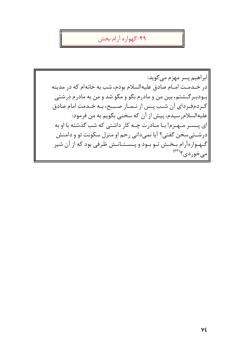# ۴۹-گهواره آرام بخش

|ابراهيم پسر مهزم مي گويد: در خــدمــت امــام صادق عليهالسلام بودم، شب به خانهام كه در مدينه بـودبـرگـشتم، بين من و مادرم بگو و مگو شد و من به مادرم درشتي كردمفرداي آن شب پـس از نـمـاز صـبـح، بـه خـدمت امام صادق عليهالسلامرسيدم، پيش از آن كه سخني بگويم به من فرمود: ای پــسـر مــهـزم! بــا مــادرت چــه کار داشتی که شب گذشته با او به درشــتیسخن گفتی؟ آیا نمیدانی رحم او منزل سکونت تو و دامنش |گهوارهآرام بخش تو بود و پستانش ظرفی بود که از آن شیر |میخوردی؟<sup>(۶۴)</sup>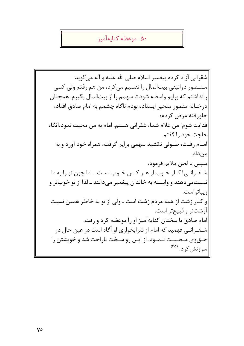#### ۵۰– موعظه كنايهآميز

شقرانی آزاد کرده پیغمبر اسلام صلی الله علیه و آله می گوید: مـنـصور دوانيقى بيت|لمال را تقسيم مى كرد، من هم رفتم ولى كسى رانداشتم که برایم واسطه شود تا سهمم را از بیتالمال بگیرم. همچنان در خــانه منصور متحير ايستاده بودم ناگاه چشمم به امام صادق افتاد، جلورفته عرض كردم: فدایت شوم! من غلام شما، شقرانی هستم. امام به من محبت نمود،آنگاه حاجت خود را گفتم. امـام رفـت، طــولى نكشيد سهمى برايم گرفت، همراه خود آورد و به من داد. سيس با لحن ملايم فرمود: شيقيرانبي! كيار خيوب از هير كيس خيوب اسيت ـ اما چون تو را به ما نسبت می دهند و وابسته به خاندان پیغمبر می دانند ـ لذا از تو خوبتر و ازيباتراست. |و کـار زشت از همه مردم زشت است ـ ولی از تو به خاطر همین نسبت |آزشتتر و قبیحتر است. امام صادق با سخنان كنايهآميز او را موعظه كرد و رفت. شـقـرانـی فهمید که امام از شرابخواری او آگاه است در عین حال در حــقeی مـحـبـت نــمـود. از ایــن رو سـخت ناراحت شد و خویشتن را |سرزنش کرد. <sup>(۶۵)</sup>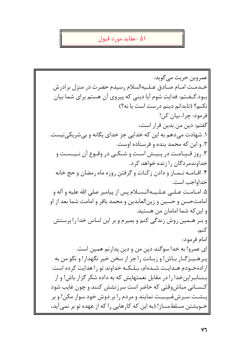#### ۵۱ -عقاید مورد قبول

|عمروبن حريث مي گويد: خـدمـت امـام صـادق عـلـيه|لسلام رسيدم حضرت در منزل برادرش بـود.گـفـتم: فدایت شوم آیا دینی که پیروی آن هستم برای شما بیان نکنم؟ (تابدانم دینم درست است یا نه؟) فرمود: چرا، بيان كن! گفتم: دين من بدين قرار است، ۱. شهادت میدهم به این که خدایی جز خدای یگانه و بی شریکی نیست. ۲. و این که محمد بنده و فرستاده اوست. ۳. روز قـیـامـت در پـیـش اسـت و شـکـی در وقـوع آن نـیـسـت و خداوندمر دگان را زنده خواهد کرد. ۴. اقــامــه نــمــاز و دادن زكــات و گرفتن روزه ماه رمضان و حج خانه خداواحب است. ۵. امـامـت عـلـى عـلـيـهالـسـلام پس از پيامبر صلى الله عليه و آله و امامتحسن و حسین و زینالعابدین و محمد باقر و امامت شما بعد از او |و این که شما امامان من هستید. و بـر هـمین روش زندگی کنم و بمیرم و بر این اساس خدا را پرستش كنم. امام فرمود: ای عمرو! به خدا سوگند دین من و دین پدارنم همین است. يبرهـيـزگـار بـاش! و زبـانت راجز از سخن خير نگهدار! و نگو من به ارادهخـودم هـدايـت شـدهام، بـلـكـه خداوند تو را هدايت كرده است. بسناب راین خدا را در مقابل نعمتهایش که به داده شکر گزار باش! و از کـسـانی مباشوقتی که حاضر است سرزنشش کنند و چون غایب شود پــشــت ســرشفــيــبـت نمايند و مردم را بر دوش خود سوار مكن! و بر خویشتن مسلطمساز! (به این که کارهایی را که از عهده تو بر نمیآید،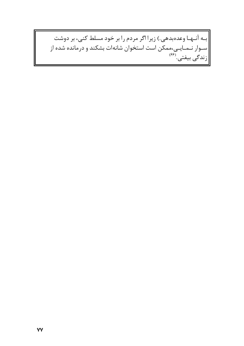|بـه آنـهـا وعدهبدهي.) زيرا اگر مردم را بر خود مسلط كنى، بر دوشت |سـوار نـمـایـی،ممکن است استخوان شانهات بشکند و درمانده شده از<br>|زندگی بیفتی.<sup>(۶۶)</sup>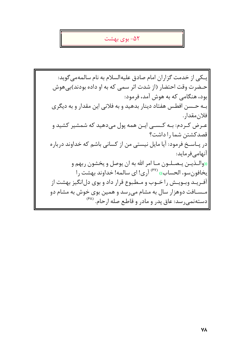#### ۵۲– بوی بهشت

ٰ یـکی از خدمت گزاران امام صادق علیهالسلام به نام سالمهمی گوید: حـضرت وقت احتضار (از شدت اثر سمی که به او داده بودند)بی هوش يود، هنگامي كه به هوش آمد، فرمود: بـه حـسن افطس هفتاد دينار بدهيد و به فلاني اين مقدار و به ديگري فلان مقدار . عـرض کـردم: بـه کـســی ایـن همه پول میدهید که شمشیر کشید و قصدكشتن شما را داشت؟ در پـاسـخ فرمود: آيا مايل نيستى من از كسانى باشم كه خداوند درباره آنهامىفرمايد: <u>((والــذيــن يـصـلــون مـا امر الله به ان يوصل و ي</u>خشون ربهم و يخافون سوء الحساب)) <sup>(۶۷)</sup> آري! اي سالمه! خداوند بهشت را آف ریـد وبـویـش را خـوب و مـطبوع قرار داد و بوی دلانگیز بهشت از |مــسـافت دوهزار سال به مشام مىرسد و همين بوى خوش به مشام دو |دستهنمیرسد: عاق پدر و مادر و قاطع صله ارحام. <sup>(۶۸)</sup>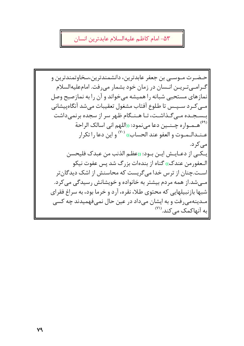۵۳– امام كاظم عليهالسلام عابدترين انسان

حـضـرت مـوسـى بن جعفر عابدترين، دانشمندترين،سخاوتمندترين و |گـرامــی تـریــن انــسان در زمان خود بشمار می٫رفت. امامعلیهالسلام نمازهای مستحبی شبانه را همیشه میخواند و آن را به نمازصبح وصل مے کـرد سـپـس تا طلوع آفتاب مشغول تعقیبات میشد آنگاهپیشانی بـسـجـده مـی5ـذاشـت، تـا هـنـگام ظهر سر از سجده برنمیداشت <sup>(۶۹)</sup>هــمــوار ه چــنــين دعا مےنمود: «اللهم انى اسالک الراحة عـنـدالـمـوت و العفو عند الحساب)) <sup>(٧٠)</sup> و اين دعا را تكرار مے کر د. يكي از دعـايـش ايـن بـود: ((عظـم الذنب من عبدك فليحسن الـعفورمن عندک)) گناه از بندهات بزرگ شد پس عفوت نیکو |اسـت.چنان از ترس خدا می گریست که محاسنش از اشک دیدگان تر |مبي شد.از همه مردم بيشتر به خانواده و خويشانش رسيدگي مي كرد. |شبها بازنبیلهایی که محتوی طلا، نقره، آرد و خرما بود، به سراغ فقرای |مـدينهمي رفت و به ايشان ميداد در عين حال نميفهميدند چه كسي  $\left| \text{ }^{(Y1)} \right.$ به آنهاکمک می کند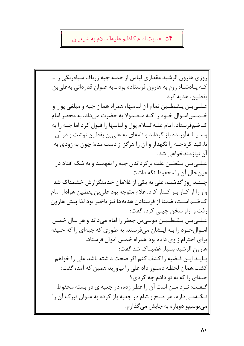#### ۵۴- عنایت امام کاظم علیهالسلام به شیعیان

روزی هارون الرشید مقداری لباس از جمله جبه زرباف سیاهرنگی را ـ کـه پـادشـاه روم به هارون فرستاده بود ـ به عنوان قدردانی بهعلی بن ابقطین، هدیه کرد. عـلــيبــن يــقـطــين تمام آن لباسها، همراه همان جبه و مبلغي پول و خـمـس|مـوال خـود را كـه مـعـمولا به حضرت مىداد، به محضر امام كـاظـمفرستاد. امام عليهالسلام پول و لباسها را قبول كرد اما جبه را به وسـیـلـهآورنده باز گرداند و نامهای به علی بن یقطـین نوشت و در آن تاءکید کردجبه را نگهدار و آن را هرگز از دست مده! چون به زودی به |آن نیازمندخواهی شد. |عـلــی بــن پــقطـین علت بر گرداندن جبه را نفهمید و به شک افتاد در عين حال أن را محفوظ نگه داشت. چـنـد روز گذشت، علی به یکی از غلامان خدمتگزارش خشمناک شد |واو را از کــار بــر کــنار کرد. غلام متوجه بود على بن يقطـين هوادار امام |كـاظــم|ســت، ضمنا از فرستادن هديهها نيز باخبر بود لذا پيش هارون ارفت و ازاو سخن چينې کرد، گفت: |عـلـی بــن یــقــطــیــن موسی بن جعفر را امام می۱داند و هر سال خمس امـوال خـود را بـه ايـشان مىفرستد، به طورى كه جبهاى را كه خليفه برای احتراماز وی داده بود همراه خمس اموال فرستاد. هارون الرشيد بسيار غضبناك شد گفت: بـايــد ايــن قــضيه را كشف كنم اگر صحت داشته باشد على را خواهم كشت.همان لحظه دستور داد على را بياوريد همين كه آمد، گفت: جبهای را که به تو دادم چه کردی؟ گـفـت: نـزد مـن است آن را عطر زده، در جعبهای در بسته محفوظ نگهمی دارم، هر صبح و شام در جعبه باز کرده به عنوان تبرک آن را میبوسمو دوباره به جایش میگذارم.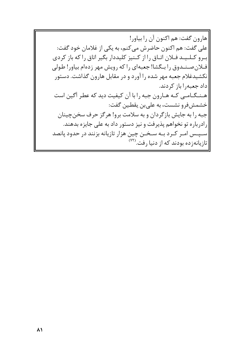|هارون گفت: هم اكنون آن را بياور! |علی گفت: هم اکنون حاضرش میکنم، به یکی از غلامان خود گفت: |بـرو كـلـيـد فـلان اتـاق را از كـنيز كليددار بگير اتاق را كه باز كردى فلان صندوق را بـگشا! جعبهای را که رویش مهر زدهام بیاور! طولی نکشیدغلام جعبه مهر شده را آورد و در مقابل هارون گذاشت. دستور داد جعبه, ا باز کردند. |هـنـگـامـي كـه هـارون جبه را با آن كيفيت ديد كه عطر آگين است خشمشفر و نشست، به علی بن یقطین گفت: جبه را به جايش بازگردان و به سلامت برو! هرگز حرف سخن چينان |رادرباره تو نخواهم پذیرفت و نیز دستور داد به علی جایزه بدهند. |سپس امـر کـرد بـه سـخـن چين هزار تازيانه بزنند در حدود پانصد |تازیانهزده بودند که از دنیا رفت.<sup>(۷۲</sup>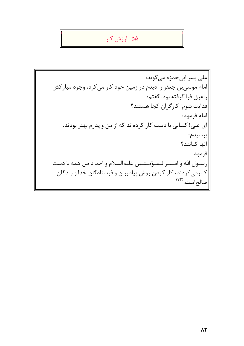# ۵۵– ارزش کار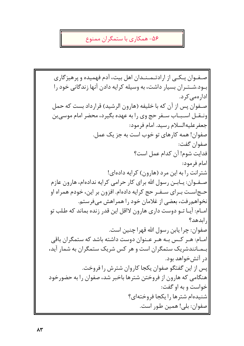## ۵۶– همکاری با ستمگران ممنوع

صفوان پیکبی از ارادتیمینیدان اهل بیت، آدم فهمیده و پرهیز گاری بــود.شــتــران بسیار داشت، به وسیله کرایه دادن آنها زندگانی خود را |ادار ەمے کر د. صـفوان پس از آن که با خلیفه (هارون الرشید) قرارداد بست که حمل ونيقيل استبياب سيفر حج وي را به عهده بگيرد، محضر امام موسى بن جعفر عليهالسلام رسيد. امام فرمود: صفوان! همه کارهای تو خوب است به جز یک عمل. صفوان گفت: فدايت شوم! آن كدام عمل است؟ امام فرمود: شترانت را به این مرد (هارون) کرایه دادهای! صـفـوان: پــابــن رسول الله براي كار حرامـي كرايه ندادهام، هارون عازم حـجاسـت بـراي سـفـر حج كرايه دادهام. افزون بر اين، خودم همراه او نخواهم٫فت، بعضی از غلامان خود ٫۱ همراهش می فرستم. |امـام: آيـا تــو دوست داري هارون لااقل اين قدر زنده بماند كه طلب تو ا الدهد؟ صفوان: چرا يابن رسول الله قهرا چنين است. امـام: هـر كـس بـه هـر عـنوان دوست داشته باشد كه ستمگران باقى بهمانندشریک ستمگران است و هر کس شریک ستمگران به شمار آید، ادر آتشخواهد بود. پس از این گفتگو صفوان یکجا کاروان شترش را فروخت. هنگامی که هارون از فروختن شترها باخبر شد، صفوان را به حضورخود خواست و به او گفت: شنیدهام شترها را یکجا فروختهای؟ |صفوان: بلي! همين طور است.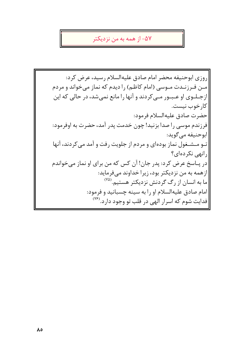#### ۵۷– از همه به من نزدیکتر

روزي ابوحنيفه محضر امام صادق عليهالسلام رسيد، عرض كرد: |مـن فـرزنـدت مـوسى (امام كاظـم) را ديدم كه نماز مى خواند و مردم |ازجـلـوی او عـبـور مـی کردند و آنها را مانع نمیشد، در حالی که این |كارخوب نيست. حضرت صادق عليهالسلام فرمود: فرزندم موسى را صدا بزنيد! چون خدمت پدر آمد، حضرت به اوفرمود: ابوحنيفه مي گويد: تـو مـشـغول نماز بودهاى و مردم از جلويت رفت و آمد مىكردند، آنها رانهی نکردهای؟ در پـاسخ عرض کرد: پدر جان! آن کس که من برای او نماز می خواندم |ازهمه به من نزدیکتر بود، زیرا خداوند میفر ماید: ما به انسان از رگ گردنش نزدیکتر هستیم.<sup>(۷۵)</sup> |امام صادق عليهالسلام او را به سينه چسبانيد و فرمود: |فدایت شوم که اسرار البهی در قلب تو وجود دارد.<sup>(۷۶</sup>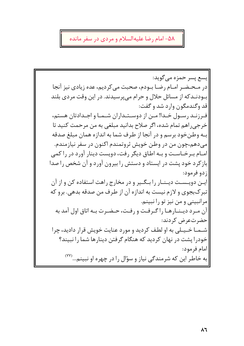## ۵۸– امام رضا علیهالسلام و مردی در سفر مانده

ايسع پسر حمزه مي گويد: در مـحـضـر امـام رضـا بـودم، صحبت مي كرديم، عده زيادي نيز آنجا بــودنــدکه از مسائل حلال و حرام مے پرسیدند. در این وقت مردی بلند قد وگندمگون وارد شد و گفت: فـرزنـد رسـول خـدا! مـن از دوسـتـداران شـمـا و اجـدادتان هستم، خرجی راهم تمام شده، اگر صلاح بدانید مبلغی به من مرحمت کنید تا بـه وطنخود برسم و در آنجا از طرف شما به اندازه همان مبلغ صدقه |میدهم،چون من در وطن خویش ثروتمندم اکنون در سفر نیازمندم. امـام بـرخـاسـت و بـه اطـاق دیگر رفت، دویست دینار آورد در را کمی باز کرد خود پشت در ایستاد و دستش را بیرون آورد و آن شخص را صدا |; دو فرمود: |ایـن دویـسـت دیـنـار را بـگـیر و در مخارج راهت استفاده کن و از آن |تبرکبجوی و لازم نیست به اندازه آن از طرف من صدقه بدهی. برو که |مرانبيني و من نيز تو را نبينم. آن مرد دينارها را كرفت ورفت، حضرت به اتاق اول آمد به حضرتء ض کردند: شــمــا خــيــلى به او لطـف كرديد و مورد عنايت خويش قرار داديد، چرا خودرا پشت در نهان کردید که هنگام گرفتن دینارها شما را نبیند؟ |امام فرمود: |به خاطر این که شرمندگی نیاز و سؤال را در چهره او نبینم... (۷۷)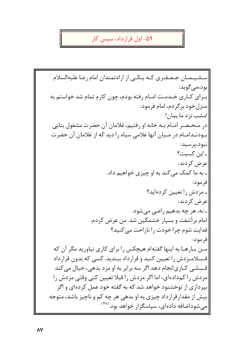۵۹- اول قرارداد، سپس کار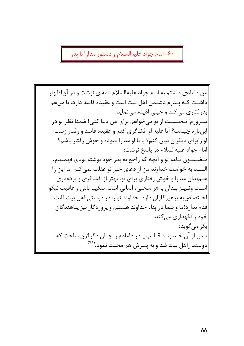۶۰- امام جواد علیهالسلام و دستور مدارا با پدر

من دامادی داشتم به امام جواد علیهالسلام نامهای نوشت و در آناظهار داشـت كـه پـدرم دشـمن اهل بيت است و عقيده فاسد دارد، با من هم بدرفتاري مي كند و خيلي اذيتم مي نمايد. |سـرورم! نـخـسـت از تو مىخواهم براى من دعا كنى! ضمنا نظر تو در |اینباره چیست؟ آیا علیه او افشاگری کنم و عقیده فاسد و رفتار زشت او رابرای دیگران بیان کنم؟ یا با او مدارا نموده و خوش رفتار باشم؟ امام جواد عليهالسلام در باسخ نوشت: |مـضـمـون نـامه تو و آنچه که راجع به يدر خود نوشته بودي فهميدم، الـبــتهبه خواست خداوند من از دعاى خير تو غفلت نمى كنم اما اين را هـمبدان مدارا و خوش رفتاری برای تو، بهتر از افشاگری و پردهدری است ونييز بيدان با هر سختي، آساني است. شكيبا باش و عاقبت نيكو اخـتصاصبه پرهیزگاران دارد. خداوند تو را در دوستی اهل بیت ثابت قدم بدارد!ما و شما در پناه خداوند هستیم و پروردگار نیز پناهندگان خود رانگهداری می کند. |بکر مے گوید: پــس از آن خــداونــد قــلــب پــدر دامادم را چنان دگرگون ساخت که |دوستداراهل بیت شد و به پسرش هم محبت نمود.<sup>(۷۹)</sup>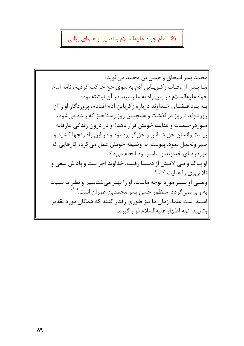۶۱- امام جواد علیهالسلام و تقدیر از علمای ربانی

محمد پسر اسحاق و حسن بن محمد می گوید: |مـا يــس از وفـات زكـريــابن آدم به سوى حج حركت كرديم، نامه امام جوادعلیهالسلام در بین راه به ما رسید. در آن نوشته بود: بـه يـاد قـضـاي خـداوند درباره زكريابن آدم افتادم، پروردگار او را از روزتـولد تا روز درگذشت و همچنین روز رستاخیز که زنده می شود، مـوردرحـمـت و عنایت خویش قرار دهد! او در درون زندگی عارفانه زیست وانسان حق شناس و حقگو بود بود و در این راه رنجها کشید و صبر وتحمل نمود. پیوسته به وظیفه خویش عمل می کرد، کارهایی که موردرضای خداوند و پیامبر بود انجام میداد. او پیاک و بے آلاییش از دنیپیا رفت، خداوند اجر نیت و یاداش سعی و تلاش وي را عنايت كند! |وصـی او نـیـز مورد توجه ماست، او را بهتر میشناسیم و نظر ما نسبت بهاو بر نمیگردد. منظور حسن پسر محمدبن عمران است.<sup>(۸۰)</sup> |امـید است علماء زمان ما نیز طوری رفتار کنند که همگان مورد تقدیر وتاءييد ائمه اطهار عليهالسلام قرار گيرند.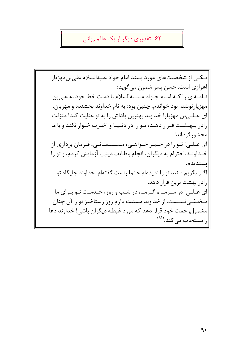۶۲- تقدیری دیگر از یک عالم ربانی

يـكـي از شخصيتهاي مورد پسند امام جواد عليهالسلام علىبن مهزيار اهوازي است. حسن پسر شمون مي گويد: نياميهاي را كيه اميام جيواد عبليپهالسلام با دست خط خود به علي بن مهزیار نوشته بود خواندم، چنین بود: به نام خداوند بخشنده و مهربان. ای عـلـیبن مهزیار! خداوند بهترین پاداش را به تو عنایت کند! منزلت رادر بهشت قرار دهند، تنو را در دنیها و آخیرت خیوار نکند و با ما محشور گرداند! ای عـلـی! تـو را در خـیـر خـواهـی، مـسـلـمـانـی، فـرمان برداری از خـداونـد،احترام به دیگران، انجام وظایف دینی، آزمایش کردم، و تو را |يسنديدم. اگــر بگويم مانند تو را نديدهام حـتما راست گفتهام. خداوند جايگاه تو ارادر بهشت برین قرار دهد. |ای عـلـی! در سـرمـا و گـرمـا، در شـب و روز، خـدمـت تـو بـرای ما |مـخـفـی نـیـست. از خداوند مسئلت دارم روز رستاخیز تو را آن چنان |مشمول رحمت خود قرار دهد که مورد غبطه دیگران باشی! خداوند دعا رامستجاب می کند.(۱۸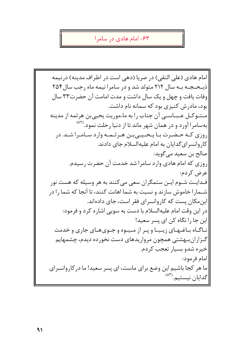#### ۶۳– امام هادی در سامرا

امام هادي (على النقى) در صريا (دهى است در اطراف مدينه) درنيمه ذیبحیچیه پیه سال ۲۱۲ متولد شد و در سامرا نیمه ماه رجب سال ۲۵۴ وفات یافت و چهل و یک سال داشت و مدت امامت آن حضر ت۳۳ سال بود، مادرش کنیزی بود که سمانه نام داشت. مستوكل عبياسي أن جناب را به ماءموريت يحيىبن هرثمه از مدينه بهسامرا آورد و در همان شهر ماند تا از دنیا رحلت نمود.<sup>(۸۲</sup> روزی کـه حـضـرت بـا يـحـيــىبـن هـرثـمـه وارد سـامـرا شـد. در کاروانسرای گدایان به امام علیهالسلام جای دادند. صالح بن سعيد مي گويد: روزي كه امام هادي وارد سامرا شد خدمت آن حضرت رسيدم. عرض کردم: فـدايـت شـوم ايـن ستمگران سعى مى كنند به هر وسيله كه هست نور شـمارا خاموش سازند و نسبت به شما اهانت کنند، تا آنجا که شما را در این مکان پست که کاروانسرای فقر است، جای دادهاند. |در این وقت امام علیهالسلام با دست به سویی اشاره کرد و فرمود: |این جا را نگاه کن ای پسر سعید! ناگاه باغهای زیبا و پر از میوه و جوی های جاری و خدمت گـزاران بـهشتی همچون مرواریدهای دست نخورده دیدم، چشمهایم خيره شدو بسيار تعجب كردم. |امام فرمود: ما هر کجا باشیم این وضع برای ماست، ای پسر سعید! ما در کاروانسرای اگدایان نیستیم. (۸۳)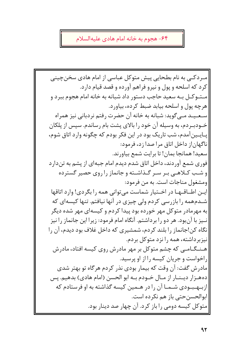### ۶۴- هجوم به خانه امام هادي عليهالسلام

|میردکیے به نام بطحایی پیش متوکل عباسی از امام هادی سخن چینی کرد که اسلحه و پول و نیرو فراهم آورده و قصد قیام دارد. مت و کـل بـه سعید حاجب دستور داد شبانه به خانه امام هجوم ببر د و هرچه يول و اسلحه بيابد ضبط كرده، بياورد. سـعـيـد مـي5ويد: شبانه به خانه آن حضرت رفتم نردباني نيز همراه خــودبـردم، به وسیله آن خود را بالای پشت بام رساندم. سپس از پلکان پـايــينآمدم، شب تاريک بود در اين فکر بودم که چگونه وارد اتاق شوم، ناگهاناز داخل اتاق مرا صدا زد، فرمود: سعيد! همانجا بمان! تا برايت شمع بياورند. فوري شمع آوردند، داخل اتاق شدم ديدم امام جبهاي از پشم به تندارد و شب کـلاهـی بـر سـر گـذاشـته و جانماز را روی حصیر گسترده |ومشغول مناجات است. به من فرمود: |ایـن اطـاقـهـا در اخـتیار شماست میتوانی همه را بگردی! وارد اتاقها |شــدمهمه را بازرسی کردم ولی چیزی در آنها نیافتم. تنها کیسهای که به مهرمادر متوکل مهر خورده بود پیدا کردم و کیسهای مهر شده دیگر نــیز با آنبود. هر دو را برداشتم. آنگاه امام فرمود: زیرا این جانماز را نیز نگاه کن!جانماز را بلند کردم، شمشیری که داخل غلاف بود دیدم، آن را نیزبرداشته، همه را نزد متوکل بردم. هـنـگـامـی که چشم متوکل بر مهر مادرش روی کیسه افتاد، مادرش راخواست و جریان کیسه را از او پرسید. مادرش گفت: آن وقت که بیمار بودی نذر کردم هرگاه تو بهتر شدی ده هـزار ديـنـار از مـال خـودم بـه ابو الحسن (امام هادي) بدهيم. يس ازبههبودی شها آن را در هـمین کیسه گذاشته به او فرستادم که ابوالحسن حتى باز هم نكرده است. متوکل کیسه دومی را باز کرد. آن چهار صد دینار بود.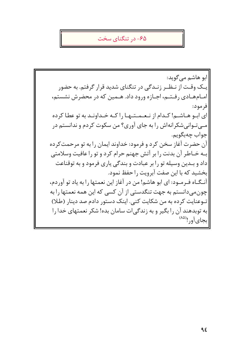#### ۶۵- د, تنگنای سخت

ابو هاشم می گوید: یـک وقـت از نـظـر زنـدگی در تنگنای شدید قرار گرفتم. به حضور امـامهـادي رفـتـم، اجـازه ورود داد. هـمين كه در محضرش نشستم، فرمود: ای اب و هـاشـم! کـدام از نـعـمـتـهـا را کـه خـداونـد به تو عطا کرده مـی تـوانی شکرانهاش را به جای آوری؟ من سکوت کردم و ندانستم در جواب چەبگويم. آن حضرت آغاز سخن کرد و فرمود: خداوند ایمان را به تو مرحمتکرده بـه خـاطر أن بدنت را بر أتش جهنم حرام كرد و تو را عافيت وسلامتي داد و بـدین وسیله تو را بر عبادت و بندگی پاری فرمود و به توقناعت بخشيد كه يا اين صفت آيرويت را حفظ نمود. آنـگـاه فـرمـود: ای ابو هاشم! من در آغاز این نعمتها را به یاد تو آوردم، چون می دانستم به جهت تنگدستی از آن کسی که این همه نعمتها را به تـوعنايت كرده به من شكايت كني. اينك دستور دادم صد دينار (طلا) |به توبدهند آن را بگیر و به زندگی|ت سامان بده! شکر نعمتهای خدا را ابجاي أور!(۵۸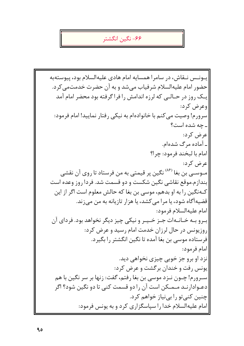#### ۶۶– نگین انگشتر

يــونــس نــقاش، در سامرا همسايه امام هادي عليهالسلام بود، پيوستهبه حضور امام عليهالسلام شرفياب مي شد و به آن حضرت خدمتمي كرد. یبک روز در حیالی که لرزه اندامش را فراگرفته بود محضر امام آمد وعرض کرد: سرورم! وصيت مي كنم با خانوادهام به نيكي رفتار نماييد! امام فرمود: ـ چه شده است؟ عرض کرد: ۔ آمادہ مرگ شدہام. امام با لبخند فرمود: چرا؟ عرض كرد: مــوســِي بن بغا <sup>(٨۶)</sup> نگين پر قيمتي به من فرستاد تا <sub>د</sub>وي آن نقشي ِ بندازم.موقع نقاشی نگین شکست و دو قسمت شد. فردا روز وعده است کـهنگین را به او بدهم، موسى بن بغا که حالش معلوم است اگر از این قضیهآگاه شود، یا مرا میکشد، یا هزار تازیانه به من میزند. امام عليهالسلام فرمود: بیرو بیه خیانیهات جیز خییر و نیکی چیز دیگر نخواهد بود. فردای آن روزیونس در حال لرزان خدمت امام رسید و عرض کرد: فرستاده موسى بن بغا آمده تا نگين انگشتر را بگيرد. |امام فرمود: نزد او برو جز خوبی چیزی نخواهی دید. یونس رفت و خندان برگشت و عرض کرد: سـرورم! چـون نـزد موسى بن بغا رفتم، گفت: زنها بر سر نگين با هم دعـوادارنـد مـمـکن است آن را دو قسمت کنبی تا دو نگین شود؟ اگر چنین کنی تو را بی نیاز خواهم کرد. |امام علیهالسلام خدا را سپاسگزاری کرد و به یونس فرمود: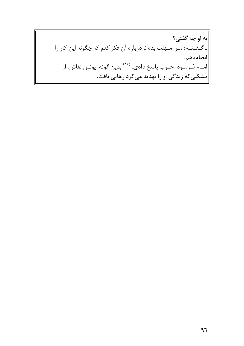به او چه گفتي؟ |ـ گــفــتــم: مــرا مــهلت بده تا درباره آن فكر كنم كه چگونه اين كار را انجام دهم. امـام فـرمـود: خـوب پاسخ دادی. <sup>(۸۷)</sup> بدین گونه، یونس نقاش، از $\Big|$ |مشکلی که زندگی او را تهدید می کرد رهایی یافت.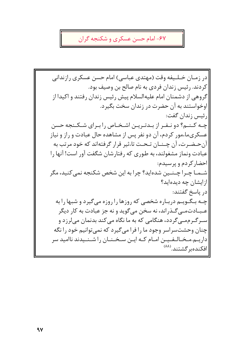# ۶۷- امام حسن عسکري و شکنجه گران

|در زمـان خـلـيفه وقت (مهتدي عباسي) امام حسن عسكري رازنداني كردند. رئيس زندان فردي به نام صالح بن وصيف بود. گروهی از دشمنان امام علیهالسلام پیش رئیس زندان رفتند و اکیدا از اوخواستند به آن حضرت در زندان سخت بگیرد. ا, ئيس زندان گفت: چـه کـنـم؟ دو نـفـر از بـدتـريـن اشـخـاص را بـراي شـكـنجه حسن عسکریماءمور کردم، آن دو نفر پس از مشاهده حال عبادت و راز و نیاز آن حـضـرت، آن چـنــان تـحـت تاءثیر قرار گرفتهاند که خود مرتب به عبادت ونماز مشغولند، به طوری که رفتارشان شگفت آور است! آنها را احضار كردم و پرسيدم: شــمــا چــرا چــنـــين شدهايد؟ چرا به اين شخص شكنجه نمي كنيد، مگر ازایشان چه دیدهاید؟ اد, پاسخ گفتند: چـه بـگـویـم دربـاره شخصی که روزها را روزه می گیرد و شبها را به عـبــادتمــی گــذراند، نه سخن می گوید و نه جز عبادت به کار دیگر |سـرگـرممـي5ردد، هنگامي كه به ما نگاه مي كند بدنمان ميلرزد و چنان وحشتسراسر وجود ما را فرا می گیرد که نمی توانیم خود را نگه |داریـم.مـخـالـفـیـن امـام کـه ایـن سـخـنـان را شـنـیدند ناامید سر |افكندهبر گشتند.(<sup>۸۸)</sup>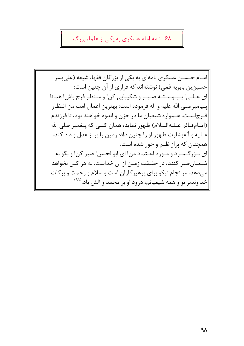## ۶۸- نامه امام عسکری به یکی از علماء بزرگ

|امــام حــســن عسكري نامهاي به يكي از بزرگان فقهاء شيعه (على يسر حسین بن بابویه قمی) نوشتهاند که فرازی از آن چنین است: اي عـلـي! يـيـوسـتـه صـبـر و شكيبايي كن! و منتظر فرج باش! همانا ايــيامبرصلي الله عليه و آله فرموده است: بهترين اعمال امت من انتظـار فـرجاسـت. هـمواره شيعيان ما در حزن و اندوه خواهند بود، تا فرزندم (امـام قـائم عـليهالسلام) ظـهور نمايد، همان كسى كه ييغمبر صلى الله عـليه و آلهبشارت ظهور او را چنين داد: زمين را پر از عدل و داد كند، همچنان که پراز ظلم و جور شده است. ای بـزرگـمـرد و مـورد اعـتماد من! ای ابوالحسن! صبر کن! و بگو به |شیعیان صبر کنند، در حقیقت زمین از آن خداست. به هر کس بخواهد |می دهد،سرانجام نیکو برای پرهیز کاران است و سلام و رحمت و بر کات |خداوندبر تو و همه شیعیانم، درود او بر محمد و آلش باد.<sup>(۸۹</sup>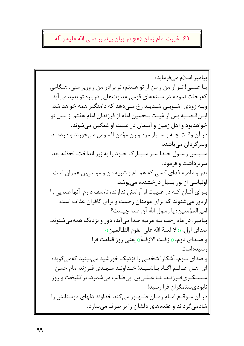# ۶۹- غیبت امام زمان (عج در بیان پیغمبر صلی الله علیه و آله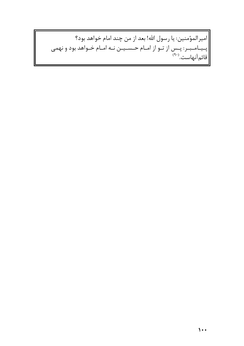|امیرالمؤمنین: یا رسول الله! بعد از من چند امام خواهد بود؟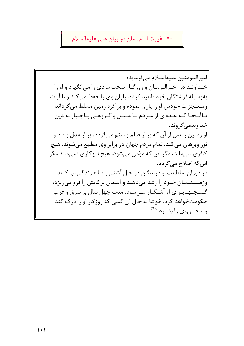# ۷۰- غیبت امام زمان در بیان علی علیهالسلام

امير المؤمنين عليه السلام مي فرمايد: خـداونـد در آخـرالـزمـان و روزگـار سخت مردى را مى|نگيزد و او را بهوسیله فرشتگان خود تاءیید کرده، پاران وی را حفظ می کند و با آیات ومعجزات خودش او را پاری نموده و بر کره زمین مسلط میگرداند تـاآنـجـا كـه عـدهاى از مـردم بـا مـيـل و گـروهـى بـاجـبار به دين خداوندمي گروند. او زمـين را پس از آن كه پر از ظلم و ستم مىگردد، پر از عدل و داد و نور وبرهان می کند. تمام مردم جهان در برابر وی مطیع میشوند. هیچ کافرینمیماند، مگر این که مؤمن میشود، هیچ تبهکاری نمیماند مگر |این که اصلاح مے گردد. در دوران سلطنت او درندگان در حال آشتی و صلح زندگی می کنند وزمیپنسیان خبود را رشد می دهند و آسمان بر کاتش را فرو می ریزد، گـنـجـهـابـرای او آشـكـار مـی شود، مدت چهل سال بر شرق و غرب حکومتخواهد کرد. خوشا به حال آن کسی که روزگار او را درک کند و سخنانوي را بشنود.<sup>(۹۱)</sup>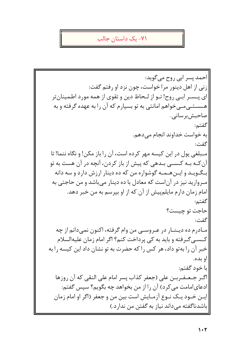#### ۷۱– یک داستان جالب

احمد پسر ابي روح مي گويد: زنی از اهل دینور مرا خواست، چون نزد او رفتم گفت: ای پــسـر ابــی روح! تــو از لــحاظ دين و تقوی از همه مورد اطمينان تر هــســتــی مــی خواهم امانتی به تو بسیار م که آن را به عهده گرفته و به صاحبش پر سانبي. گفتم: به خواست خداوند انجام مے دهم. گفت: مـبلغي پول در اين كيسه مهر كرده است، آن را باز مكن! و نگاه ننما! تا آن کــه بــه کــســی بــدهی که پیش از باز کردن، آنچه در آن هست به تو بـگـویـد و ایـن هـمـه گوشواره من که ده دینار ارزش دارد و سه دانه مروارید نیز در آن است که معادل با ده دینار میباشد و من حاجتی به امام زمان دارم مایلم پیش از آن که از او بیرسم به من خبر دهد. گفتم: حاجت تو چیست؟ گفت: مـادرم ده ديـنـار در عـروسـي من وام گرفته، اكنون نمىدانم از چه كــسـي گــرفته و بايد به كي پرداخت كنم؟ اگر امام زمان عليهالسلام خبر آن را به تو داد، هر کس را که حضرت به تو نشان داد این کیسه را به او بده. با خود گفتم: اگـر جـعـفـربـن على (جعفر كذاب پسر امام على النقى كه آن روزها ادعای|مامت می کرد) آن را از من بخواهد چه بگویم؟ سپس گفتم: ایــن خــود یــک نــوع آزمــایش است بین من و جعفر (اگر او امام زمان باشدناگفته میداند نیاز به گفتن من ندارد.)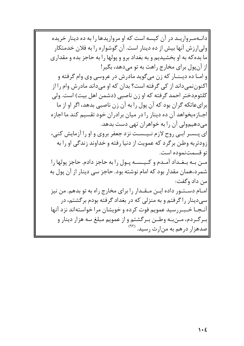|دانـهمـرواريـد در آن كيسه است كه او مرواريدها را به ده دينار خريده |ولی|رزش آنها بیش از ده دینار است. آن گوشواره را به فلان خدمتکار ما بده که به او بخشیدیم و به بغداد برو و پولها را به حاجز بده و مقداری از آن یول برای مخارج راهت به تو می دهد، بگیر! |و امـا ده ديـنــار كه زن مىگويد مادرش در عروسى وى وام گرفته و |اکنوننمیداند از کی گرفته است؟ بدان که او میداند مادرش وام را از كلثوم دختر احمد گرفته كه او زن ناصبي (دشمن اهل بيت) است. ولي برای عاتکه گران بود که آن پول را به آن زن ناصبی بدهد، اگر او از ما |اجــازهبخواهد آن ده دينار را در ميان برادران خود تقسيم كند ما اجازه مے دھیہولی آن را به خواهران تھے ،دست بدھد. ای پسسر اببی روح لازم نسیست نزد جعفر بروی و او را آزمایش کنی، زودتربه وطن برگرد که عمویت از دنیا رفته و خداوند زندگی او را به تو قسمتنموده است. مـن بـه بـغـداد آمـدم و كـيـسـه پـول را به حاجز دادم. حاجز پولها را شمرد،همان مقدار بود که امام نوشته بود. حاجز سی دینار از آن پول به |من داد وگفت: |امــام دســتــور داده ايــن مــقــدار را براي مخارج راه به تو بدهم. من نيز |سي دينار را گرفتم و به منزلي كه در بغداد گرفته بودم برگشتم، در |آنـجـا خـبـررسید عمویم فوت کرده و خویشان مرا خواستهاند نزد آنها |بـرگـردم، مــنبـه وطــن بـرگشتم و از عمويم مبلغ سه هزار دينار و |صدهزار درهم به منارث رسید. <sup>(۹۲)</sup>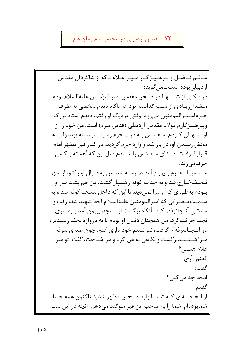## ٧٢ -مقدس اردبيلي در محضر امام زمان عج

عبالیم فیاضل و پیرهیپزگیار میپر عبلام ـ که از شاگردان مقدس ار دیبلے بودہ است ـ مے گوید: در يـكـي از شـبـهـا در صـحن مقدس اميرالمؤمنين عليهالسلام بودم میقیدار زیبادی از شیب گذاشته بود که ناگاه دیدم شخصی به طرف حـرمامـيـرالمؤمنين مىرود. وقتى نزديك او رفتم، ديدم استاد بزرگ وپـرهـيزگارم مولانا مقدس اردبيلي (قدس سره) است. من خود را از اوپـنــهـان كـردم، مـقـدس بـه درب حرم رسيد. در بسته بود، ولي به محض رسیدن او، در باز شد و وارد حرم گردید. در کنار قبر مطهر امام قـرارگـرفـت. صـداي مـقـدس را شنيدم مثل اين كه آهسته با كسي حرف مے زند. ِ سَـَـيـَـِس از حـرم بِــيرون آمد در بِسته شد. من به دنبال او رفتم، از شهر نـجـفخـارج شد و به جناب کوفه رهسيار گشت. من هم يشت سر او ب ودم به طوری که او مرا نمی دید. تا این که داخل مسجد کوفه شد و به |سـمـتمـحـرابي كه اميرالمؤمنين عليهالسلام آنجا شهيد شد، رفت و |مـدتــی آنــجاتوقف کرد، آنگاه برگشت از مسجد بیرون آمد و به سوی نجف حرکت کرد. من همچنان دنبال او بودم تا به دروازه نجف رسیدیم، در آنجاسرفهام گرفت، نتوانستم خود داری کنم، چون صدای سرفه مـرا شـنـیـدبرگشت و نگاهی به من کرد و مرا شناخت، گفت: تو میر علام هستي؟ گفتم: آري! گفت: اینجا چه می کنی؟ گفتم: از لـحـظــهاي كــه شــمــا وارد صـحــن مطـهر شديد تاكنون همه جا با |شمابودهام. شما را به صاحب این قبر سوگند میدهم! آنچه در این شب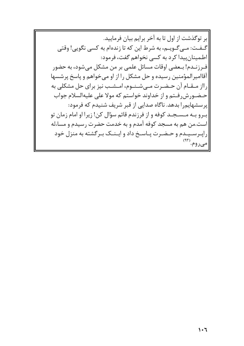بر توگذشت از اول تا به آخر برایم بیان فرمایید. گـفـت: مـيگـويــم، به شرط اين كه تا زندهام به كسي نگويي! وقتي اطمينان پيدا كرد به كسى نخواهم گفت، فرمود: |فـرزنــدم! بــعضى اوقات مسائل علمي بر من مشكل ميشود، به حضور آقاامیرالمؤمنین رسیده و حل مشکل را از او می خواهم و پاسخ پرشسها |رااز مــقــام آن حــضــرت مــىشــنــوم، امــشــب نيز براي حل مشكلي به حـضـورش٫فـتم و از خداوند خواستم که مولا على عليهالسلام جواب |پرسشهایم٫را بدهد. ناگاه صدایی از قبر شریف شنیدم که فرمود: ابيرو بيه ميستجيد كوفه و از فرزندم قائم سؤال كن! زيرا او امام زمان تو |است.من هم به مسجد کوفه آمدم و به خدمت حضرت رسیدم و مساءله |راپیرسییدم و حیضرت پیاسخ داد و ایینیک بیرگشته به منزل خود ۹۳)<br>-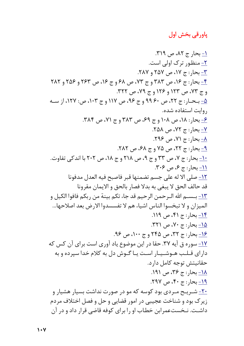# پاورقی بخش اول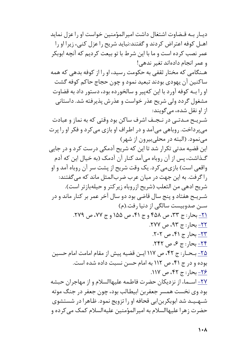ديبار بــه قــضاوت اشتغال داشت اميرالمؤمنين خواست او را عزل نمايد اهـل کوفه اعتراض کردند و گفتند:نباید شریح را عزل کنبی، زیرا او را عمر نصب کرده است و ما با این شرط با تو بیعت کردیم که آنچه ابوبکر و عمر انجام دادهاند تغیر ندهی! هـنگامی که مختار ثقفی به حکومت رسید، او را از کوفه بدهی که همه ساکنین آن یهودی بودند تبعید نمود و چون حجاج حاکم کوفه گشت او را بــه کوفه آورد با این کهییر و سالخورده بود، دستور داد به قضاوت مشغول گردد ولی شریح عذر خواست و عذرش پذیرفته شد. داستانی از او نقل شده، مے گویند: شـریـح مـدتـی در نـجـف اشرف ساکن بود وقتی که به نماز و عبادت مي پرداخت. روباهي مي آمد و در اطراف او بازي مي كرد و فكر او را پرت می نمود. (البته در محلی بیرون از شهر) این قضیه مدتی تکرار شد تا این که شریح آدمکی درست کرد و در جایی گـذاشت، پس از آن روباه می آمد کنار آن آدمک (به خیال این که آدم واقعی است) بازی می کرد. یک وقت شریح از پشت سر آن روباه آمد و او راگرفت. به این جهت در میان عرب ضربالمثل ماند که میگفتند: شريح ادهي من الثعلب (شريح ازروباه زيركتر و حيلهبازتر است). شـریـح هفتاد و پنج سال قاضی بود دو سال آخر عمر بر کنار ماند و در سـن صدوبیست سالگی از دنیا رفت.(م) <u>٢١-</u> بحار: ج ٣٣، ص ٤٥٨ و ج ۴١، ص ١۵۵ و ج ٧٧، ص ٢٧٩. ٢٢- بحار : ج ٩٣، ص ٢٧٧. <u>٢٣-</u> بحارج ۴۱، ص ٢٠٢. <u>۲۴ - بحار: ج ۶، ص ۲۴۲</u>. <u>۲۵-</u> بـحـار: ج ۴۲، ص ۱۱۷ ایــن قضیه پیش از مقام امامت امام حسین بوده و در ج ۴۱، ص ۱۱۲ به امام حسن نسبت داده شده است. <u>۲۶-</u> بحار : ج ۴۲، ص ۱۱۷. <u>۲۷-</u> اسـماء از نزدیکان حضرت فاطـمه علیهاالسلام و از مهاجران حبشه بود وي نخست همسر جعفربن ابيطالب بود، چون جعفر در جنگ موته شههید شد ابوبکربنابی قحافه او را تزویج نمود. ظاهرا در شستشوی حضرت زهرا علیهاالسلام به امیرالمؤمنین علیهالسلام کمک می کرده و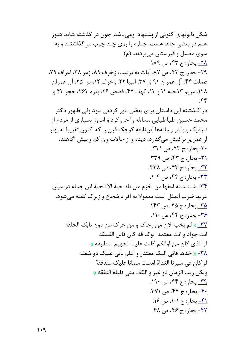شکل تابوتهای کنونی از پشنهاد اومی باشد. چون در گذشته شاید هنوز هــم در بعضی جاها هست، جنازه را روی چند چوب می گذاشتند و به سوي مغسل و قبرستان مي بردند. (م) <u>٢٨ ب</u>حا<sub>د</sub>: ج ۴۳، ص ١٨٩. <u>٢٩-</u> بحار: ج ۴۳، ص ٨٧. آيات به ترتيب: زخرف ٨٩، زمر ٣٨، اعراف ٢٩، فصلت ۴۴، آل عمران ۹۱ ق ۳۷، انبیا ۲۲، زخرف ۱۲، ص ۲۵، آل عمران ١٢٨، مريم ١٣،طه ١١ و ١٣، كهف ٤٤، قصص ٢٤، بقره ٢٤٣، حجر ٤٣ و  $\mathcal{F}$ در گــذشته این داستان برای بعضی باور کردنی نبود ولی ظـهور دکتر محمد حسین طباطبایی مساءله را حل کرد و امروز بسیاری از مردم از نـزديک و يا در رسانهها اينiابغه کوچک قرن را که اکنون تقريبا نه بهار از عمر پر برکتش می گذرد، دیده و از حالات وی کم و بیش آگاهند. <u>٣٠-ب</u>حار: ج ۴۳، ص ٣٣١. ٣<u>١ -</u> بحار : ج ۴۳، ص ٣٣٩. <u>٣٢ - ب</u>حار: ج ۴٣، ص ٣٣٨. ٣٣- بحار: ج ۴۴، ص ١٠۴. <u>٣۴-</u> شــنــشنة اعفـها من اخزم هل تلد حية الا الحية اين جمله در ميان عربها ضرب المثل است معمولا به افراد شجاع و زير ک گفته مي شود. ۳۵- بجار: ج ۴۵، ص ۱۴۳.  $Y^*$ - بجار: ج ۴۴، ص ۱۱۰. <u>٣٧-</u> « لم يخب الان من رجاك و من حرك من دون بابك الحلقه انت جواد و انت معتمد ابوك قد كان قاتل الفسقه لو الذي كان من اوائكم كانت علينا الجهيم منطبقه » <u>۳۸- «</u> خدها فانی الیک معتذر و اعلم بانی علیک ذو شفقه لو كان في سيرنا الغداة امست سمانا عليك مندفقة ولكن ريب الزمان ذو غير و الكف مني قليلة النفقه » <u>٣٩ - بحار: ج</u> ۴۴، ص ١٩٠. <u>۴۰ -</u> بحار: ج ۴۴، ص ۳۷۱. <u>۴۱-</u> بحار: ج ۱۰۱، ص ۱۶. <u>۴۲ - بحار : ج ۴۶، ص ۶۸.</u>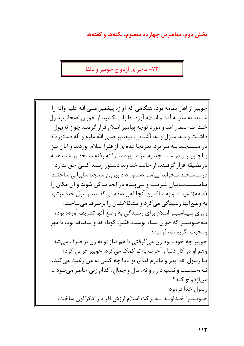### بخش دوم: معاصرين چهارده معصوم، نكتهها و گفتهها

۷۳- ماجرای ازدواج جوسر و ذلفا

جويبر از اهل يمامه بود، هنگامي كه آوازه پيغمبر صلى الله عليه وآله را شنید، به مدینه آمد و اسلام آورد. طولی نکشید از خوبان اصحاب رسول خـدا بـه شمار آمد و مورد توجه پیامبر اسلام قرار گرفت. چون نه،یول داشـت و نـه، منزل و نه، آشنایی، پیغمبر صلی الله علیه و آله دستورداد |در مـسـجـد بـه سر برد. تدریجا عدهای از فقرا اسلام آوردند و آنان نیز بـاجـویـبـر در مـسـجد به سر می بردند. رفته رفته مسجد پر شد، همه در مضیقه قرار گرفتند. از جانب خداوند دستور رسید کسی حق ندارد درمسسجـد بـخوابد! پيامبر دستور داد بيرون مسجد سايباني ساختند تامسسلهمانان غریب و بهیبناه در آنجا ساکن شوند و آن مکان را (صفه)نامیدند و به ساکنین آنجا اهل صفه میگفتند. رسول خدا مرتب به وضع آنها رسیدگی می کرد و مشکلاتشان را برطرف می ساخت. روزی پـیـامـیـر اسلام برای رسیدگے به وضع آنها تشریف آورده بود، بـهجـويـبـر كه جوان سياه پوست، فقير، كوتاه قد و بدقيافه بود، با مهر |ومحبت نگريست، فرمود: جويبر چه خوب بود زن ميگرفتي تا هم نياز تو به زن بر طرف ميشد وهم او در کار دنیا و آخرت به تو کمک می کرد. جویبر عرض کرد: يــا رسول الله! يدر و مادرم فداي تو باد! چه كسي به من رغبت مي كند، نـه،حـسـب و نسب دارم و نه، مال و جمال، كدام زنى حاضر مىشود با منازدواج كند؟ ارسول خدا فرمود: جـویـبـر! خـداونـد بـه برکت اسلام ارزش افراد را دگرگون ساخت،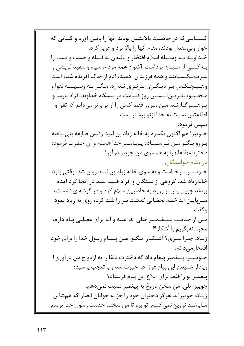کـسـانـی که در جاهلیت بالانشین بودند آنها را پایین آورد و کسانی که خوار وبی مقدار بودند، مقام آنها را بالا برد و عزیز کرد. خـداونـد بـه وسـيله اسلام افتخار و باليدن به قبيله و حسب و نسب را ابله کیلیی از میپیان برداشت. اکنون همه مردم، سیاه و سفید قریشی و عـربيـكـسـانند و همه فرزندان آدمند، آدم از خاک آفريده شده است وهـیـچـکـس بـر دیـگـری بـرتـری نـدارد. مـگـر بـه وسـیـلـه تقوا و مـحـبـوبتـريـن|نــسـان روز قـيامت در پيشگاه خداوند افراد پارسا و پیرهیینزگیارنید. مینامیروز فقط کسی را از تو برتر میدانم که تقوا و اطاعتش نسبت به خدا از تو بیشتر است. سيس فرمود: جـويبر! هم اكنون يكسره به خانه زياد بن لبيد رئيس طايفه بني بياضه بـروو بـگـو مـن فـرسـتـاده پـيـامـبر خدا هستم و آن حضرت فرمود: دخترت((ذلفا)) را به همسری من جویبر درآور! در مقام خواستگاری جـویـبـر بـرخـاست و به سوی خانه زیاد بن لبید روان شد. وقتی وارد خانهزیاد شد، گروهی از بستگان و افراد قبیله لبید در آنجا گرد آمده بودند.جویبر پس از ورود به حاضرین سلام کرد و در گوشهای نشست، سـریایین انداخت، لحظـاتی گذشت سر را بلند کرد، روی به زیاد نمود وگفت: مـن از جـانـب پـيـغـمـبر صلى الله عليه و آله براي مطـلبي پيام دارم، |محرمانهبگويم يا آشكا, ا؟ |زیـاد: چـرا سـری؟ آشـكـارا بـگـو! مـن پـیـام رسول خدا را برای خود |افتخار مے دانم. جـويـبـر: يـيغمبر ييغام داد كه دخترت ذلفا را به ازدواج من درآوري! زیاداز شنیدن این پیام غرق در حیرت شد و با تعجب پرسید: ييغمبر تو را فقط براي ابلاغ اين پيام فرستاد؟ جويبر: بلي، من سخن دروغ به پيغمبر نسبت نمي٥هم. زیـاد: جویبر! ما هرگز دختران خود را جز به جوانان انصار که همشاءن مـاباشند تزويج نمى كنيم، تو برو تا من شخصا خدمت رسول خدا برسم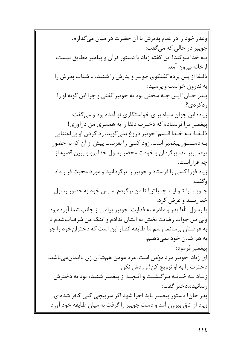|وعذر خود را در عدم پذیرش با آن حضرت در میان می گذارم. جويبر در حالي که مي گفت: |بـه خدا سوگند! این گفته زیاد با دستور قرآن و پیامبر مطابق نیست، ازخانه بيرون آمد. ذلـفا از پس پرده گفتگوی جویبر و پدرش را شنید، با شتاب پدرش را بهاندرون خواست و پرسید: پـدر جـان! ايــن چــه سخني بود به جويبر گفتي و چرا اين گونه او را اردكردى؟ زیاد: این جوان سیاه برای خواستگاری تو آمده بود و می گفت: پیغمبر مرافرستاده که دخترت ذلفا را به همسری من درآوری! ذليفا: به خلدا قسم! جويبر دروغ نمي گويد، رد كردن او بي اعتنايي بـهدسـتـور پیغمبر است. زود کسی را بفرست پیش از آن که به حضور پیغمبربرسد، برگردان و خودت محضر رسول خدا برو و ببین قضیه از چه قراراست. زیاد فورا کسی را فرستاد و جویبر را برگردانید و مورد محبت قرار داد وگفت: جـویـبـر! تـو ایـنـجا باش! تا من برگردم. سپس خود به حضور رسول خدارسيد و عرض كرد: |یا رسول الله! پدر و مادرم به فدایت! جویبر پیامی از جانب شما آوردهبود ولي من جواب رضايت بخش به ايشان ندادم و اينک من شرفيابشدم تا به عرضتان برسانم، رسم ما طایفه انصار این است که دختران خود را جز به هم شاءن خود نمي دهيم. |ييغمبر فرمود: ای زیاد! جویبر مرد مؤمن است. مرد مؤمن همشاءن زن باایمان می باشد، دخترت را به او تزويج كن! و ردش نكن! زيباد ببه خيانيه بيرگيشيت و آنيچيه از پيغمبر شنيده بود به دخترش |, سانبده.دختر گفت: پدر جان! دستور پیغمبر باید اجرا شود اگر سرپیچی کنی کافر شدهای. |زیاد از اتاق بیرون آمد و دست جویبر را گرفت به میان طایفه خود آورد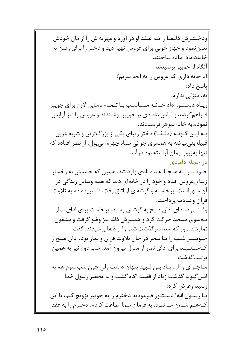ودخـتـرش ذلـفـا را بـه عـقد او در آورد و مهریهاش را از مال خودش تعیننمود و جهاز خوبی برای عروس تهیه دید و دختر را برای رفتن به خانەداماد آمادە ساختند. آنگاه از جويبر پرسيدند: آيا خانه داري كه عروس را به آنجا ببريم؟ |ياسخ داد: نه، منزلی ندارم. زیباد دستتور داد خیانیه مینیاسب بیا تیمیام وسایل لازم برای جویبر ف راهم کردند و لباس دامادی بر جویبر پوشاندند و عروس را نیز آرایش نموده،به خانه شوهر فرستادند. به ایس گونه (ذلیف) دختر زیبای یکی از بزرگترین و شریفترین قبیلهبنی بیاضه به همسری جوانی سیاه چهره، بی پول، از نظر افتاده که تنها بهزيور ايمان آراسته بود درآمد. در حجله دامادی جـویـبـر بـه هـجـلـه دامـادی وارد شد، همین که چشمش به رخسار زیبایء وس افتاد و خود را در خانهای دید که همه وسایل زندگی در آن مـهیااست، برخاسته و گوشهای از اتاق رفت، تا سییده دم به تلاوت اقرآن وعبادت پرداخت. |وقــتــي صــداي اذان صبح به گوشش رسيد، برخاست براي اداي نماز بـهسوی مسجد حرکت کرد و همسرش ذلفا نیز وضو گرفت و مشغول نمازشد. روز که شد، سرگذشت شب را از ذلفا پرسیدند. گفت: جـویـبـر شـب را تـا سحر در حال تلاوت قرآن و نماز بود، اذان صبح را کـهشـنــیـد برای ادای نماز از منزل بیرون آمد، شب دوم نیز به همین |تر تیب گذشت. ِ مـاجـراي را از زيـاد بـن لـبيد پنهان داشت ولي چون شب سوم هم به |ایـن گـونه گذشت زیاد از قضیه آگاه گشت و به محضر رسول خدا ارسيد وعرض كرد: یـا رســول الله! دســتــور فــرمودید دخترم را به جویبر تزویج کنم، با این |كـههـم شـاءن مـا نبود، به فرمان شما اطاعت كردم، دخترم را به عقد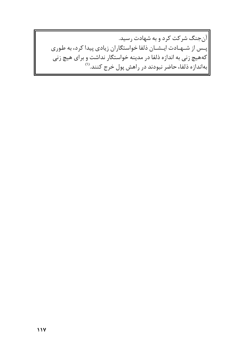|آنجنگ شرکت کرد و به شهادت رسید. |پـس از شــهـادت ايـشـان ذلفا خواستگاران زيادى پيدا كرد، به طورى کههیچ زنی به اندازه ذلفا در مدینه خواستگار نداشت و برای هیچ زنی بهاندازه ذلفا، حاضر نبودند در راهش پول خرج کنند.<sup>(۱)</sup>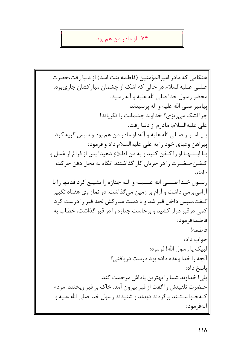#### ۷۴– او مادر من هم بود

|هنگامی که مادر امیرالمؤمنین (فاطمه بنت اسد) از دنیا رفت،حضرت عـلــ عـليهالسلام در حالي كه اشك از چشمان مباركشان جاريبود، محضر رسول خدا صلى الله عليه و آله رسيد. ييامبر صلى الله عليه و آله پرسيدند: چرا اشک می ریزی؟ خداوند چشمانت را نگریاند! على عليهالسلام: مادرم از دنيا رفت. پـيـامـبـر صـلى الله عليه و آله: او مادر من هم بود و سپس گريه كرد. پیراهن وعبای خود را به علی علیهالسلام داد و فرمود: بـا ايـنــهـا او را كـفن كنيد و به من اطلاع دهيد! پس از فراغ از غسل و کـفـنحـضـرت را در جریان کار گذاشتند آنگاه به محل دفن حرکت دادند. ارسبول خبدا صبلبي الله عبليييه و آليه جنازه را تشييع كرد قدمها را با آرامی برمی داشت و آرام بر زمین می گذاشت. در نماز وی هفتاد تکبیر گـفت.سیس داخل قبر شد و با دست مبار کش لحد قبر را درست کرد کمی درقبر دراز کشید و برخاست جنازه را در قبر گذاشت، خطاب به فاطمەفرمود: فاطمه! جواب داد: لبيک يا رسول الله! فرمود: آنچه را خدا وعده داده بود درست دریافتی؟ ياسخ داد: بلي! خداوند شما را بهترين پاداش مرحمت كند. حـضرت تلقينش را گفت از قبر بيرون آمد. خاک بر قبر ريختند. مردم کـهخـواسـتـند برگردند ديدند و شنيدند رسول خدا صلى الله عليه و |آلەفرمود: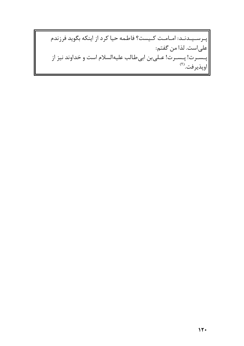|پـرسـیـدنـد: امـامـت کـیست؟ فاطمه حیا کرد از اینکه بگوید فرزندم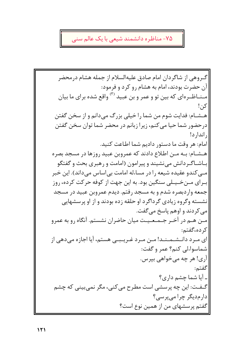# ۷۵- مناظره دانشمند شیعی با یک عالم سنی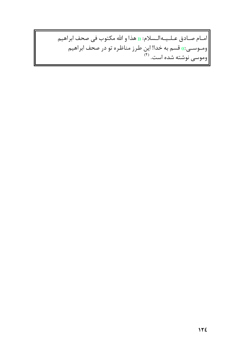امام صادق عـلـيـهالـسلام: « هذا و الله مكتوب في صحف ابراهيم | ومــوســى:)) قسم به خدا! این طرز مناظره تو در صحف ابراهیم<br>| وموسى نوشته شده است. <sup>(۴)</sup>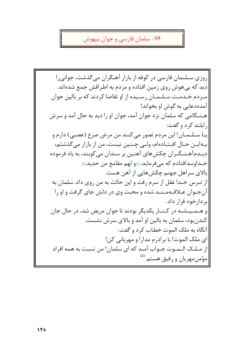## ۷۶- سلمان فارسي و جوان بيهوش

روزی سـلـمان فارسی در کوفه از بازار آهنگران می گذشت، جوانی را دید که بی هوش روی زمین افتاده و مردم به اطرافش جمع شدهاند. میردم خیدمت سیلیمیان رسیده از او تقاضا کردند که بر بالین جوان آمدهدعایی به گوش او بخواند! هـنـگامي كه سلمان نزد جوان آمد، جوان او را ديد به حال آمد و سرش رابلند کرد و گفت: يـا سـلـمـان! اين مردم تصور مي كنند من مرض صرع (عصبي) دارم و بهايـن حـال افـتـادهام، ولـى چـنين نيست، من از بازار مى گذشتم، دیـدمآهـنـگـران چکشهای آهنین بر سندان میکوبند، به یاد فرموده خـداونـدافتادم كه مى فرمايد: «ولهم مقامع من حديد)): بالای سراهل جهنم چکش هایی از آهن هست. |از تيرس خيدا عقل از سرم رفت و اين حالت به من روي داد. سلمان به |آن جـوان عــلاقــهمــنــد شده و محبت وي در دلش جاي گرفت و او را |بر دارخود قرار داد. |و هــمـیــشــه در کــنــار یکدیگر بودند تا جوان مریض شد، در حال جان کندن بود، سلمان به بالین او آمد و بالای سرش نشست. |آنگاه به ملک الموت خطاب کرد و گفت: |ای ملک الموت! با برادرم مدارا و مهربانی کن! |از مـلـک الـمـوت جـواب آمـد که ای سلمان! من نسبت به همه افراد |مؤمن مهربان و رفيق هستم.<sup>(۵</sup>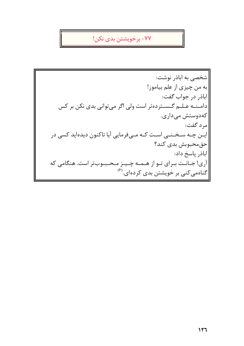# ۷۷- برخویشتن بدی نکن!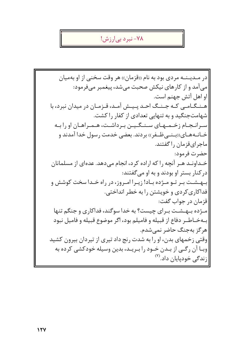## ۷۸– نبر د بے ارزش!

در مـديـنـه مردى بود به نام «قزمان» هر وقت سخنى از او بهميان می آمد و از کارهای نیکش صحبت می شد، پیغمبر می فرمود: |او اهل آتش جهنم است. هـنـگـامـى كـه جـنـگ احـد پـيـش آمـد، قـزمـان در ميدان نبرد، با شهامتجنگید و به تنهایی تعدادی از کفار را کشت. سـرانـجـام زخـمـهـاي سـنـگـيـن بـرداشـت، هـمـراهـان او را بـه خــانــههــاي((بــنــی ظــفر)) بردند. بعضی خدمت رسول خدا آمدند و ماجرای قزمان را گفتند. |حضرت فرمود: خـداونـد هـر آنچه را که اراده کرد، انجام مے دهد. عدهای از مسلمانان در کنار بستر او بودند و به او می گفتند: بسهسشت بیر تبو میژده بیاد! زیبرا امیروز، در راه خیدا سخت کوشش و فداکاری کردی و خویشتن را به خطر انداختی. اقزمان در جواب گفت: |مـژده بـهـشـت بـراي چيست؟ به خدا سوگند، فداكاري و جنگم تنها |بـهخـاطـر دفاع از قبيله و فاميلم بود، اگر موضوع قبيله و فاميل نبود |هرگز بهجنگ حاضر نمی شدم. وقتی زخمهای بدن، او را به شدت رنج داد تیری از تیردان بیرون کشید |وبــا آن رگــي از بــدن خــود را بــريــد، بدين وسيله خودكشي كرده به زندگی خودپایان داد. $\vert \raisebox{.6ex}{\hspace{.2ex}\raisebox{.6ex}{\scriptsize$\bullet$}}$ زندگی خودپایان داد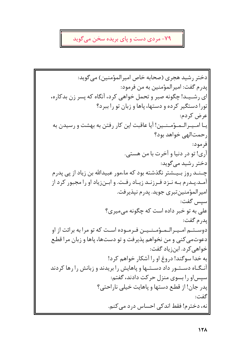# ۷۹- مردی دست و پای بریده سخن میگوید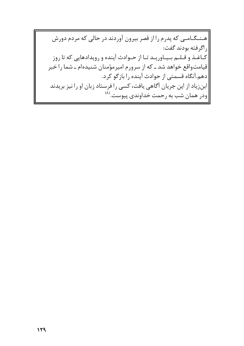|هـنـگـامـى كه پدرم را از قصر بيرون آوردند در حالى كه مردم دورش راگرفته بودند گفت: كاغن و قليم بيباوريند تنا از حنوادث آينده و رويدادهايي كه تا روز قیامتواقع خواهد شد ـ که از سرورم امیرمؤمنان شنیدهام ـ شما را خبر دهم.آنگاه قسمتی از حوادث آینده را بازگو کرد. |ابنزیاد از این جریان آگاهی یافت، کسی را فرستاد زبان او را نیز بریدند |ودر همان شب به رحمت خداوندی پیوست.<sup>(۸)</sup>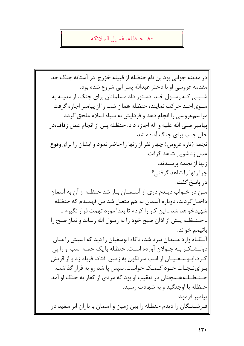#### ٨٠- حنظله، غسيل الملائكه

|در مدينه جواني بود بن نام حنظله از قبيله خزرج. در آستانه جنگ|حد مقدمه عروسی او با دختر عبدالله پسر ابی شروع شده بود. شـبــی کـه رسـول خـدا دستور داد مسلمانان برای جنگ، از مدینه به سـوىاحـد حركت نمايند، حنظله همان شب را از پيامبر اجازه گرفت مراسم عروسی را انجام دهد و فردایش به سپاه اسلام ملحق گردد. پیامبر صلی الله علیه و آله اجازه داد. حنظله پس از انجام عمل زفاف،در حال جنب برای جنگ آماده شد. نجمه (تازه عروس) چهار نفر از زنها را حاضر نمود و ایشان را برای وقوع عمل زناشویی شاهد گرفت. زنها از نجمه پرسیدند: چرا زنها را شاهد گرفتی؟ اد, پاسخ گفت: |مـن در خـواب ديـدم دري از آسـمـان بـاز شد حنظـله از آن به آسمان داخــلگرديد، دوباره آسمان به هم متصل شد من فهميدم كه حنظله شهیدخواهد شد ـ این کار را کردم تا بعدا مورد تهمت قرار نگیرم ـ ـ حـنـظله پیش از اذان صبح خود را به رسول الله رساند و نماز صبح را |باتیمم خواند. آنگاه وارد میدان نبرد شد، ناگاه ابوسفیان را دید که اسبش را میان دولـشـكـر بـه جـولان آورده اسـت. حنظله با يک حمله اسب او را پي کـرد،ابـوسـفـیـان از اسب سرنگون به زمین افتاد، فریاد زد و از قریش ب رای نـجـات خـود کـمـک خواست. سیس یا شد ٫ و به فرار گذاشت. حـنـظــلـههــمچنان در تعقيب او بود كه مردى از كفار به جنگ او آمد حنظله با اوجنگید و به شهادت رسید. |ييامبر فرمود: |فـرشــتـگان را ديدم حنظله را بين زمين و آسمان با باران ابر سفيد در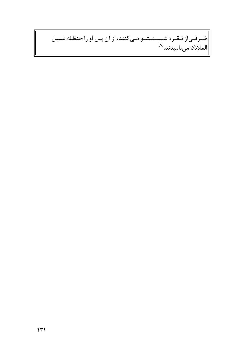# |<br>|طـرفـىاز نـقـره شـسـتـشـو مـىكنند، از آن پس او راحنظله غسيل<br>|الملائكهمىناميدند.<sup>(٩)</sup>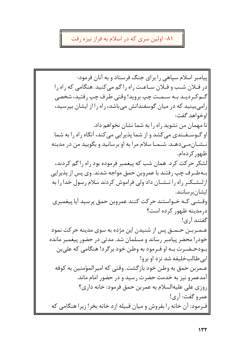## ٨١- اولین سری که در اسلام به فراز نیزه رفت

پیامبر اسلام سپاهی را برای جنگ فرستاد و به آنان فرمود: در فيلان شب و فيلان سياعت راه راكم مي كنيد. هنگامي كه راه را گ&كىرديىد بىه سىمىت چپ برويد! وقتى طرف چپ رفتيد، شخصى رامیبینید که در میان گوسفندانش میباشد، راه را از ایشان بپرسید، |اوخواهد گفت: تا مهمان من نشوید راه را به شما نشان نخواهم داد. او گــوســفــندي مي كشد و از شما پذيرايي مي كند، آنگاه راه را به شما نـشـانمـیدهـد. شـمـا سلام مرا به او برسانید و بگویید من در مدینه ظہور کردہام. لشکر حرکت کرد. همان شب که پیغمبر فرموده بود راه را گم کردند، بـهطـرف چپ رفتند با عمروبن حمق مواجه شدند. وی پس از پذیرایی ازلـشـكـر راه را نـشـان داد ولى فراموش كردند سلام رسول خدا را به |ایشان بر سانند. |وقــتــى كــه خــواستند حركت كنند عمروبن حمق پرسيد آيا پيغمبري درمدينه ظهور كرده است؟ گفتند آ, ی! عــمــربــن حــمــق پس از شنیدن این مژده به سوی مدینه حرکت نمود خودرا محضر پیامبر رساند و مسلمان شد. مدتبی در حضور پیغمبر مانده بـودحـضـرت بـه او فـرمود به وطـن خود برگرد! هنگامی که علی بن |ابي طـالبِخليفه شد نزد او برو! عــمربن حمق به وطن خود بازگشت. وقتی که امیرالمؤمنین به کوفه آمدعمرو نیز به خدمت حضرت رسید و در حضور امام ماند. روزي على عليهالسلام به عمربن حمق فرمود: خانه داري؟ عمرو گفت: آري! |فـرمود: آن خانه را بفروش و ميان قبيله ازد خانه بخر! زيرا هنگامي كه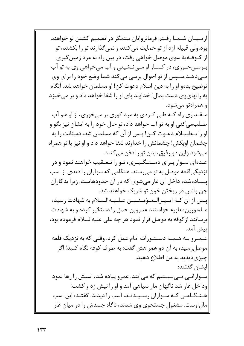|ازمـیـان شـمـا رفـتم فرمانروایان ستمگر در تصمیم کشتن تو خواهند |بود،ولی قبیله ازد از تو حمایت می کنند و نمی گذارند تو را بکشند، تو از کــوفــهبه سوى موصل خواهى رفت، در بين راه به مرد زمين گيرى |بیرمیی خبوری، در کینیار او میی نشینی و آب می خواهی وی به تو آب |مےدهـد.سـپس از تو احوال پرسی میکند شما وضع خود را برای وی توضيح بدهو او را به دين اسلام دعوت كن! او مسلمان خواهد شد. آنگاه به رانهای وی دست بمال! خداوند پای او را شفا خواهد داد و بر می خیزد |و همراهتو می شود. مقداری راه کـه طي کـردی به مرد کوری بر میخوری، از او هم آب طــلبِمی کنی او به تو آب خواهد داد، تو حال خود را به ایشان نیز بگو و او را بهاسللام دعوت کـن! یـس از آن که مسلمان شد، دستانت را به چشمان اوبکش! چشمانش را خداوند شفا خواهد داد و او نیز با تو همراه می شود واین دو رفیق، بدن تو را دفن می کنند. عـدهای سـوار بـرای دسـتـگـیـری، تـو را تـعـقیب خواهند نمود و در نزدیکی قلعه موصل به تو میرسند. هنگامی که سواران را دیدی از اسب پیمادهشده داخل آن غار می شوی که در آن حدودهاست. زیرا بدکاران جن وانس در ریختن خون تو شریک خواهند شد. |پــس از آن كــه امــيــرالــمــؤمــنــيــن عــلــيــهالــسلام به شهادت رسيد، مـاءمورینمعاویه خواستند عمروبن حمق را دستگیر کرده و به شهادت |برسانند از کوفه به موصل فرار نمود هر چه علی علیهالسلام فرموده بود، |يپش آمد. عـمـرو بـه هـمـه دسـتـورات امام عمل كرد. وقتى كه به نزديك قلعه موصل رسید، به آن دو همراهش گفت: به طرف کوفه نگاه کنید! اگر چیزیدیدید به من اطلاع دهید. |ایشان گفتند: سوارانی میبینیم که میآیند. عمرو پیاده شد، اسبش را رها نمود وداخل غار شد ناگهان مار سیاهی آمد و او را نیش زد و کشت! هـنـگـامـى كـه سـواران رسـيـدنـد، اسب را ديدند. گفتند: اين اسب |مال|وست. مشغول جستجوي وي شدند، ناگاه جسدش را در ميان غار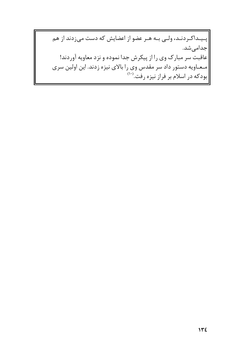|پـیـداکـردنـد، ولـی بـه هـر عضو از اعضایش که دست میزدند از هم |جدامیشد. |عاقبت سر مبارک وی را از پیکرش جدا نموده و نزد معاویه آوردند! |مـعـاويه دستور داد سر مقدس وي را بالاي نيزه زدند. اين اولين سري |بودکه در اسلام بر فراز نیزه رفت.<sup>(۱۰)</sup>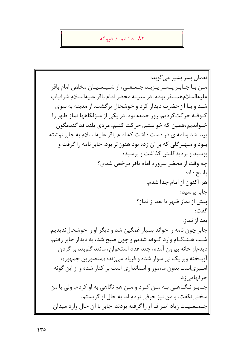٨٢- دانشمند ديوانه

انعمان پسر بشير مي گويد: مین بیا جیابیر پیسیر پیزیید جیعیفیی، از شیپیعیپیان مخلص امام باقر عليه السلام همسفر بودم. در مدينه محضر امام باقر عليه السلام شرفياب شـد و بـا آن حضرت دیدار کرد و خوشحال برگشت. از مدینه به سوی کــوفــه حر کت کردیم. روز جمعه بود. در یکی از منزلگاهها نماز ظـهر را خـواندیم،همین که خواستیم حرکت کنیم، مردی بلند قد گندمگون ییدا شد ونامهای در دست داشت که امام باقر علیهالسلام به جابر نوشته بــود و مــهــرگلی که بر آن زده بود هنوز تر بود. جابر نامه را گرفت و بوسید و بردیدگانش گذاشت و پرسید: چه وقت از محضر سرورم امام باقر مرخص شدی؟ |یاسخ داد: هم اکنون از امام جدا شدم. جابر پرسید: پیش از نماز ظهر یا بعد از نماز؟ گفت: بعد از نماز. جابر چون نامه را خواند بسیار غمگین شد و دیگر او را خوشحال ندیدیم. شـب هـنـگـام وارد كـوفه شديم و چون صبح شد، به ديدار جابر رفتم. دیدماز خانه بیرون آمده، چند عدد استخوان، مانند گلوبند بر گردن آویـخته وبر یک نی سوار شده و فریاد میزند: «منصوربن جمهور» امـیری|ست بدون ماءمور و استانداری است بر کنار شده و از این گونه حرفهامی; د. جـابـر نـگـاهـي بـه مـن كـرد و مـن هم نگاهي به او كردم، ولي با من سخنبي نگفت، و من نيز حرفي نزدم اما به حال او گريستم. |جـمـعـيـت زياد اطـراف او را گرفته بودند. جابر با آن حال وارد ميدان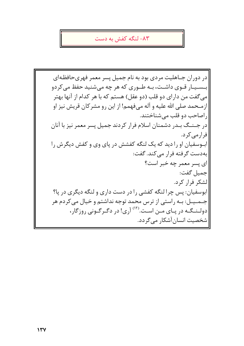## ۸۳- لنگه کفش به دست

در دوران جـاهلیت مردی بود به نام جمیل پسر معمر فهریحافظـهای |بـسـیـار قـوی داشـت، بـه طـوری که هر چه میشنید حفظ می کردو می گفت من دارای دو قلب (دو عقل) هستم که با هر کدام از آنها بهتر ازمـحمد صلى الله عليه و آله مىفهمم! از اين رو مشركان قريش نيز او راصاحب دو قلب می شناختند. در جـنـگ بـدر دشمنان اسلام فرار كردند جميل پسر معمر نيز با آنان فرارمی کرد. ابوسفیان او را دید که یک لنگه کفشش در پای وی و کفش دیگر ش را به دست گرفته فرار می کند. گفت: ای پسر معمر چه خبر است؟ حمىل گفت: لشكر فراركرد. ابوسفيان: پس چرا لنگه كفشي را در دست داري و لنگه ديگري در پا؟ جـمـيـل: بـه راستي از ترس محمد توجه نداشتم و خيال مي كردم هر دولینیگیه در پیای مین است.(۱۲) آری! در دگیر گیونی روزگار، |شخصیت انسان آشکار می گردد.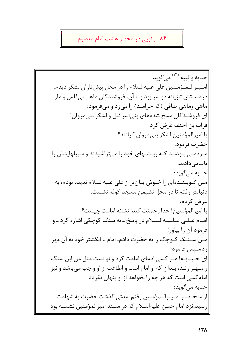# ۸۴- بانویی در محضر هشت امام معصوم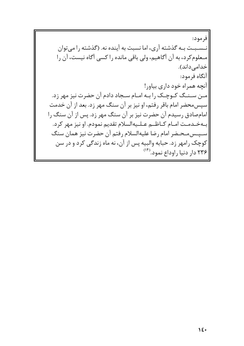فرمود: نـسـبـت بـه گذشته آرى، اما نسبت به آینده نه. (گذشته را مى توان مـعلومكرد، به أن أكاهيم، ولي باقي مانده را كسي أكاه نيست، أن را خدامی داند). |آنگاه فرمود: |آنچه همراه خود داري بياور! |مـن سـنـگ كـوچـك را بـه امـام سـجاد دادم آن حضرت نيز مهر زد. سپس محضر امام باقر رفتم، او نیز بر آن سنگ مهر زد. بعد از آن خدمت |امامصادق رسیدم آن حضرت نیز بر آن سنگ مهر زد. پس از آن سنگ را بهخـدمـت امـام كــاظــم عــلــيه|لسلام تقديم نمودم. او نيز مهر كرد. |سپس|محضر امام رضا عليه|لسلام رفتم آن حضرت نيز همان سنگ |کوچک رامهر زد. حبابه والبیه پس از آن، نه ماه زندگی کرد و در سن |۲۳۶ دار دنیا راوداع نمود.(۱۴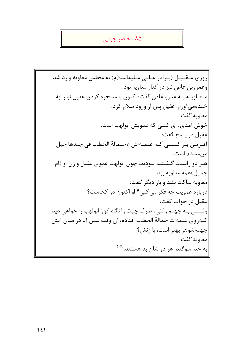# ۸۵- حاضر جوابی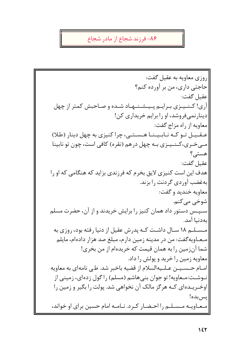## ۸۶- فرزند شجاع از مادر شجاع

روزي معاويه به عقيل گفت: حاجتي داري، من بر آورده كنم؟ عقبل گفت: آری! کـنـیـزی بـرایـم پـیـشـنـهـاد شـده و صـاحبش کمتر از چهل دینارنمیفروشد، او را برایم خریداری کن! معاويه از راه مزاج گفت: عقیل تو که نابینا هستی، چرا کنیزی به چهل دینار (طلا) مـیخـری،کـنـیـزی بـه چهل درهم (نقره) کافی است، چون تو نابینا هستے ؟ عقبل گفت: هدف این است کنیزی لایق بخرم که فرزندی بزاید که هنگامی که او را پهغضب آوردي گردنت را پزند. |معاويه خنديد و گفت: اشوخي مي کنم. سـپـس دستور داد همان كنيز را برايش خريدند و از آن، حضرت مسلم |بەدنيا آمد. مسسلـم ١٨ سـال داشـت كـه يدرش عقيل از دنيا رفته بود، روزي به مـعـاويه گفت: من در مدينه زمين دارم، مبلغ صد هزار دادهام، مايلم شما آنزمین را به همان قیمت که خریدهام از من بخری! معاويه زمين را خريد و پولش را داد. امـام حـسـيـن عـلـيهالسلام از قضيه باخبر شد. طـي نامهاي به معاويه نـوشـت:مـعاویه! تو جوان بنی۵هاشم (مسلم) را گول زدهای، زمینی از اوخـریــدهای کــه هرگز مالک آن نخواهی شد. پولت را بگیر و زمین را يس بده! معاویه مسلم را احضار کرد. نامه امام حسین برای او خواند،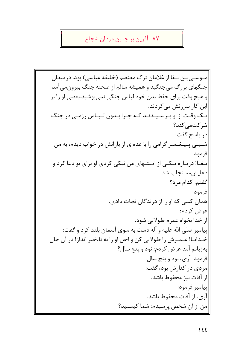٨٧- آفرين بر چنين مردان شجاع

مـوســی بــن بــغا از غلامان ترک معتصم (خلیفه عباسی) بود. درمیدان جنگهای بزرگ می جنگید و همیشه سالم از صحنه جنگ بیرون می آمد و هيچ وقت براي حفظ بدن خود لباس جنگي نميپوشيد.بعضي او را بر |این کار سرزنش مے کردند. یک وقت از او پرسیدند که چرا بدون لبیاس رزمی در جنگ شركتمى كند؟ در ياسخ گفت: شــبــی پــیــغــمبر گرامی را با عدهای از یارانش در خواب دیدم، به من فر مود: بـغــا! دربــاره يــکــی از امــتــهای من نيکی کردی او برای تو دعا کرد و دعايش مستحاب شد. گفتم: كدام مرد؟ فرمود: همان کسی که او را از درندگان نجات دادی. عرض كردم: از خدا بخواه عمرم طولاني شود. پیامبر صلی الله علیه و آله دست به سوی آسمان بلند کرد و گفت: خـدايــا! عــمــرش را طـولاني كن و اجل او را به تاءخير انداز! در آن حال بهزبانم آمد عرض كردم: نود و پنج سال؟ فرمود: آري، نود و پنج سال. مردي در کنارش بود، گفت: |از آفات نیز محفوظ باشد. |پیامبر فرمود: آري، از آفات محفوظ باشد. |من از آن شخص پرسیدم: شما کیستید؟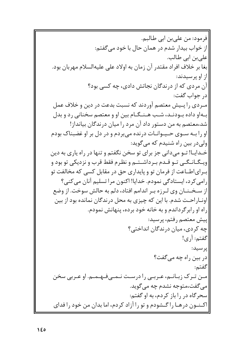|فرمود: من علي بن ابي طالبم. از خواب بیدار شدم در همان حال با خود می گفتم: |علي بن ابي طالب. بغا بر خلاف افراد مقتدر آن زمان به اولاد على عليهالسلام مهربان بود. |از او پرسیدند: آن مردی که از درندگان نجاتش دادی، چه کسی بود؟ ادر جواب گفت: ً میردی را پییش معتصم آوردند که نسبت بدعت در دین و خلاف عمل بـهاو داده بـودنـد، شـب هـنـگـام بين او و معتصم سخناني رد و بدل شد،معتصم به من دستور داد آن مرد را میان درندگان بیانداز! او را بـه سـوى حـيـوانـات درنده مى بردم و در دل بر او غضبناک بودم |ولی در بین راه شنیدم که می *گ*وید: خـدايـا! تــو مىدانى جز براى تو سخن نگفتم و تنها در راه يارى به دين ویـگـانـگـی تـو قـدم بـرداشـتـم و نظرم فقط قرب و نزدیکی تو بود و بیرایاطباعت از فرمان تو و پایداری حق در مقابل کسی که مخالفت تو رامی کرد، ایستادگی نمودم. خدایا! اکنون مرا تسلیم آنان می کنی؟ از سـخـنـان وي لـرزه بـر اندامم افتاد، دلم به حالش سوخت. از وضع |اونــار احــت شدم. با این که چیزی به محل در ندگان نمانده بود از بین | راه او رابرگرداندم و به خانه خود برده، پنهانش نمودم. |پیش معتصم رفتم، پرسید: چه کردی، میان درندگان انداختی؟ |گفتم: آ, ی! |ير سيد: در بین راه چه میگفت؟ گفتم: مـن تـرک زبـانـم، عـربـی را درسـت نـمـی فـهـمـم. او عـربی سخن مي گفت،متوجه نشدم چه مي گويد. سحرگاه در را باز کردم، به او گفتم: |اکـنـون درهـا را گـشودم و تو را آزاد کردم، اما بدان من خود را فدای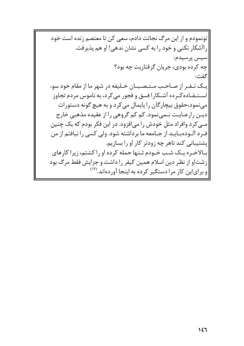ا تونمودم و از این مرگ نجاتت دادم، سعی کن تا معتصم زنده است خود راآشکار نکنی و خود را به کسی نشان ندهی! او هم پذیرفت. |سپس پرسیدم: چه کرده بودی، جریان گرفتاریت چه بود؟ گفت: یک نـفـر از صـاحـب مـنـصـبـان خـلیفه در شهر ما از مقام خود سوء |استنفاده کرده آشکارا فسق و فجور می کرد، به ناموس مردم تجاوز |مې نمود،حقوق بیچار گان را پایمال مې کر د و به هیچ گونه دستورات ديـن رارعـايـت نـمے،نمود. كم كم گروهي را از عقيده مذهبي خارج مے کرد وافراد مثل خودش را می افزود. در این فکر بودم که یک چنین ف رد آلبوده بیایید از جنامعه ما بر داشته شود. ولی کسی را نیافتم از من یشتیبانی کند تاهر چه زودتر کار او را بسازیم. بیالاخیره ییک شب خیودم تینها حمله کرده او را کشتم، زیرا کارهای |زشتاو از نظر دین اسلام همین کیفر را داشت و جزایش فقط مرگ بود و برای این کار مرا دستگیر کرده به اینجا آوردهاند.<sup>(۱۷</sup>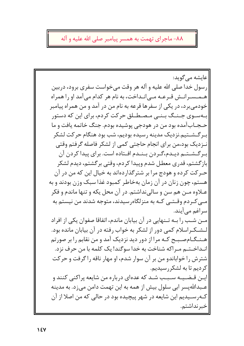٨٨- ماجراي تهمت به همسر پيامبر صلى الله عليه و آله

|عايشه مي گويد: رسول خدا صلی الله علیه و آله هر وقت می خواست سفری برود، دربین هـمـسـرانـش قـرعـه مـی|نـداخت، به نام هر کدام می آمد او را همراه خودمی برد، در یکی از سفرها قرعه به نام من در آمد و من همراه پیامبر بـهسـوی جـنـگ بـنـی مـصـطـلق حرکت کردم، برای این که دستور حـجـاب|آمده بود من در هودجي پوشيده بودم. جنگ خاتمه يافت و ما بىرگىشىتيم.نزديك مدينه رسيده بوديم، شب بود هنگام حركت لشكر نـزديک بود،من براي انجام حاجتي كمي از لشكر فاصله گرفتم وقتي بىرگىشىتىم ديىدم،گىردن بىنىدم افىتادە است. براي پيدا كردن آن بازگشتم، قدری معطل شدم وییدا کردم، وقتی برگشتم، دیدم لشکر حـرکت کرده و هودج مرا بر شترگذاردهاند به خیال این که من در آن هستم، چون زنان در آن زمان بهخاطر کمبود غذا سبک وزن بودند و به عــلاوه مــن هم سن و سالي نداشتم. در آن محل یکه و تنها ماندم و فکر |مــی کــردم وقــتــی کــه به منزلگاه٫سیدند، متوجه شدند من نیستم به اسراغم می آیند. |مـن شـب را بـه تـنهایی در آن بیابان ماندم، اتفاقا صفوان یکی از افراد لـشـكـراسلام كمى دور از لشكر به خواب رفته در آن بيابان مانده بود. هـنـگـامصـبـح كـه مرا از دور ديد نزديک آمد و من نقابم را بر صورتم انـداخـتـم مـراكه شناخت به خدا سوگند! یک کلمه با من حرف نزد. شترش را خواباندو من بر آن سوار شدم، او مهار ناقه را گرفت و حرکت | کر دیم تا به لشکر رسیدیم. ايــن قــضــيــه ســبــب شــد كه عدهاى درباره من شايعه پراكنى كنند و عـبداللهپسر ابی سلول بیش از همه به این تهمت دامن میزد. به مدینه کـه٫ســیدیم این شایعه در شهر پیچیده بود در حالبی که من اصلا از آن خبرنداشتم.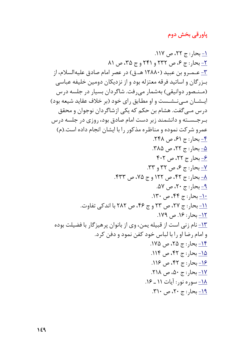### پاورقی بخش دوم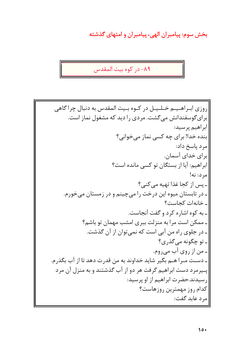بخش سوم: پیامبران الهی، پیامبران و امتهای گذشته

٨٩- در كوه بيت المقدس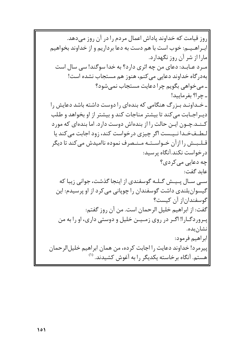روز قیامت که خداوند یاداش اعمال مردم را در آن روز می دهد. |ابـراهـیـم: خوب است با هم دست به دعا برداریم و از خداوند بخواهیم |مارا از شر آن روز نگهدارد. میرد عبایید: دعای من چه اثری دارد؟ به خدا سوگند! سی سال است بهدر گاه خداوند دعایی می کنم، هنوز هم مستجاب نشده است! ۔ می خواهی بگویم چرا دعایت مستجاب نمی شود؟ ۔ چرا؟ بفرمایید! ـ خـداونـد بـزرگ هنگامی که بندهای را دوست داشته باشد دعایش را ديبراجيابت مي كند تا بيشتر مناجات كند و بيشتر از او بخواهد و طلب کـنـد.چـون ایـن حالت را از بندهاش دوست دارد. اما بندهای که مورد لطفخدا نیست اگر چیزی درخواست کند، زود اجابت می کند یا قـلـبـش را از آن خـواسـتـه مـنـصرف نموده ناامیدش میکند تا دیگر د, خواست نکند.آنگاه پرسید: چه دعایی می کردی؟ عايد گفت: سے سال پیش گیله گوسفندی از اینجا گذشت، جوانی زیبا که گیسوانبلندی داشت گوسفندان را چوپانی می کرد از او پرسیدم: این |گوسفندان|ز آن کیست؟ گفت: از ابراهیم خلیل الرحمان است. من آن روز گفتم: پیروردگیارا! اگیر در روی زمیین خلیل و دوستی داری، او را به من انشان بده. ابراهيم فرمود: |پیرمرد! خداوند دعایت را اجابت کرده، من همان ابراهیم خلیل|لرحمان هستم. آنگاه برخاسته یکدیگر را به آغوش کشیدند. <sup>(۱)</sup>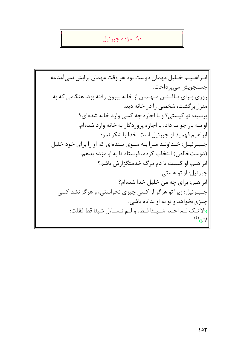## ۹۰- مژده جبرئيل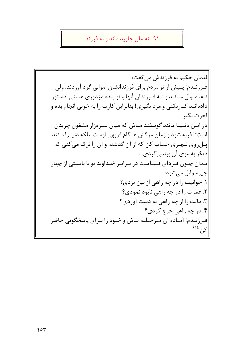#### ۹۱- نه مال جاوید ماند و نه فرزند

|لقمان حکیم به فرزندش میگفت: فیرزنیدم! پیپش از تو مردم برای فرزندانشان اموالی گرد آوردند. ولی نـه،امـوال مـانـد و نـه فـرزندان آنها و تو بنده مزدوری هستی. دستور دادهانــد کــارېکنـی و مزد بگيري! بنابراين کارت را به خوبي انجام بده و |اجرت بگير! در ایـن دنـیـا مانند گوسفند مباش که میان سبزهزار مشغول چریدن استتا فربه شود و زمان مرگش هنگام فربهی اوست. بلکه دنیا را مانند پـلروی نـهـری حساب کن که از آن گذشته و آن را ترک میکنی که ديگر بهسوي آن برنمي گردي... |بــدان چــون فـردای قــیــامـت در بـرابـر خــداوند توانا بایستی از چهار |چيز سواءل مے شود: ۱. جوانیت را در چه راهی از بین بردی؟ ٢. عمرت را در چه راهي نابود نمودي؟ ۳. مالت را از چه راهی به دست آوردی؟ ۴. در چه راهي خرج کردي؟ فـرزنـدم! آمـاده آن مـرحـلـه بـاش و خـود را بـراي پاسخگويي حاضر  $\infty$ کن! $\infty$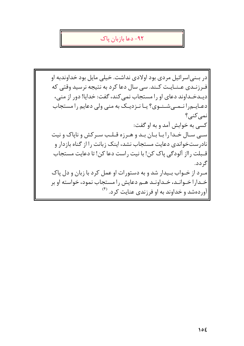#### ۹۲– دعا یازیان پاک

در بيني اسرائيل مردي بود اولادي نداشت. خيلي مايل بود خداوندبه او فـرزنـدي عـنـايـت كـند. سى سال دعا كرد به نتيجه نرسيد وقتى كه ديـدخـداوند دعاى او را مستجاب نمى كند، گفت: خدايا! دور از منى، دعایهرا نـمـیشـنـوی؟ یـا نـزدیـک به منی ولی دعایم را مستجاب نمي کني؟ کسي به خوابش آمد و به او گفت: سبی سـال خـدا را بـا بـان بـد و هـرزه قـلـب سـركش و ناپاک و نيت نادرستخواندی دعایت مستجاب نشد، اینک زبانت را از گناه بازدار و قـبلت رااز آلودگی پاک کن! با نیت راست دعا کن! تا دعایت مستجاب گ دد. میرد از خیواب بیدار شد و به دستورات او عمل کرد با زبان و دل یاک خـدارا خـوانـد، خـداونـد هـم دعايش را مستجاب نمود، خواسته او بر |آوردهشد و خداوند به او فرزندی عنایت کرد. <sup>(۴)</sup>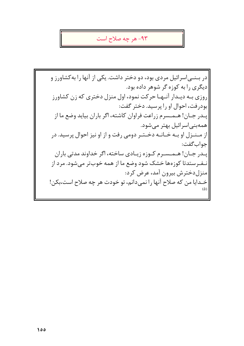#### ۹۳- هر چه صلاح است

در بسنی اسرائیل مردی بود، دو دختر داشت. یکی از آنها را به کشاورز و دیگری را به کوزه گر شوهر داده بود. روزی بـه دیـدار آنـهـا حرکت نمود، اول منزل دختری که زن کشاورز بودرفت، احوال او را پرسید. دختر گفت: پـدر جـان! هـمـسرم زراعت فراوان كاشته، اگر باران بيايد وضع ما از همەبنى اسرائيل بهتر مىشود. از مـنـزل او بـه خـانـه دخـتـر دومى رفت و از او نيز احوال پرسيد. در جواب گفت: پـدر جـان! هـمـسـرم كـوزه زيـادى ساخته، اگر خداوند مدتى باران نـفـرستدتا کوزهها خشک شود وضع ما از همه خوبتر می شود. مرد از |منزل دخترش بيرون آمد، عرض كرد: خـدايا من كه صلاح آنها را نمىدانم، تو خودت هر چه صلاح است،بكن!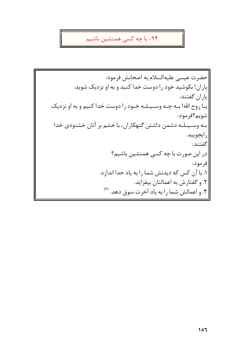# ۹۴– با چه کسی همنشین باشیم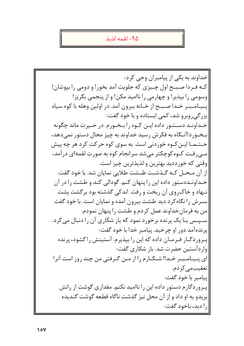#### ۹۵– لقمه لذیذ

خداوند به یکی از پیامبران وحی کرد: کـه فـردا صـبـح اول چـیزی که جلویت آمد بخور! و دومی را بیوشان! وسومی را بپذیر! و چهارمی را ناامید مکن! و از پنجمی بگریز! پیمامیبر خدا صبیح از خیانه بیرون آمد. در اولین وهله با کوه سیاه بزرگی روبرو شد، کمی ایستاده و با خود گفت: خـداونـد دسـتـور داده ايـن كـوه را بـخـورم. در حـيرت ماند چگونه بـخـور د!آنـگاه به فکرش رسید خداوند به چیز محال دستور نمیدهد، حـتـمـا ايـن كـوه خوردنى است. به سوى كوه حركت كرد هر چه پيش مـی رفـت کـوه کوچکتر میشد سرانجام کوه به صورت لقمهای درآمد، وقتي كه خوردديد بهترين و لذيذترين چيز است. |از آن مـحـل کـه گـذشـت طـشت طلايي نمايان شد. با خود گفت: |خــداونــددستور داده این را پنهان کنم. گودالی کند و طـشت را در آن |نــهاد و خاکروي آن ريخت و رفت. اندکي گذشته بود برگشت يشت |سیرش را نگاه کرد دید طشت بیرون آمده و نمایان است. با خود گفت |من به فرمان خداوند عمل كردم و طشت را پنهان نمودم. |سپیس بیا یک پرنده برخورد نمود که باز شکاری آن را دنبال می کرد. ايرنده آمد دور او چرخيد. پيامبر خدا با خود گفت: پـروردگـار فـرمـان داده كه اين را بپذيرم. آستينش را گشود، پرنده واردآستین حضرت شد. باز شکاری گفت: ای پـیـامـبـر خـدا! شـکـارم را از مـن گـرفتی من چند روز است آنرا تعقیب مے کر دم. |ييامبر با خود گفت: پـروردگارم دستور داده این را ناامید نکنم. مقداری گوشت از رانش بريدو به او داد و از آن محل نيز گذشت ناگاه قطعه گوشت گنديده را ديد، باخود گفت: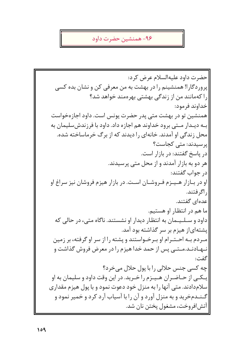### ۹۶- همنشین حضرت داود

حضرت داود عليه السلام عرض كرد: پروردگارا! همنشینم را در بهشت به من معرفی کن و نشان بده کسی را کهمانند من از زندگی بهشتی بهرهمند خواهد شد؟ خداوند فرمود: همنشین تو در بهشت متی پدر حضرت یونس است. داود اجازهخواست بـه دیـدار مـتی برود خداوند هم اجازه داد. داود با فرزندش سلیمان به محل زندگی او آمدند. خانهای را دیدند که از برگ خرماساخته شده. یر سیدند: متے کجاست؟ در پاسخ گفتند: در بازار است. هر دو به بازار آمدند و از محل متبی پرسیدند. در جواب گفتند: او در بیازار هیپیزم فیروشیان است. در بازار هیزم فروشان نیز سراغ او ], اگر فتند. عدهای گفتند. ما هم در انتظار او هستیم. داود و سـلـیـمان به انتظار دیدار او نشستند. ناگاه متی، در حالی که یشتهای|ز هیزم بر سر گذاشته بود آمد. مىردم بىه احىتىرام او بىرخىواستند و پشته را از سر او گرفته، بر زمين نـهـادنـد.مـتــی پس از حمد خدا هیزم را در معرض فروش گذاشت و گفت: چه کسی جنس حلالی را با پول حلال می خرد؟ يـکـي از حـاضـران هـيـزم را خـريد. در اين وقت داود و سليمان به او سلام دادند. متی آنها را به منزل خود دعوت نمود و با پول هیزم مقداری |گـنـدمخريد و به منزل آورد و آن را با آسياب آرد كرد و خمير نمود و |آتش|فروخت، مشغول پختن نان شد.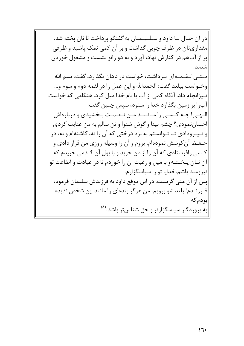|در آن حـال بـا داود و سـلـیـمـان به گفتگو پرداخت تا نان یخته شد. مقدارینان در ظرف چوبی گذاشت و بر آن کمی نمک پاشید و ظرفی |پر از آب هم در کنارش نهاد، آورد و به دو زانو نشست و مشغول خوردن شدند.

مـتــی لـقــمــهای بــرداشت، خواست در دهان بگذارد، گفت: بسم الله |وخــواست ببلعد گفت: الحمدالله و اين عمل را در لقمه دوم و سوم و... نیزانجام داد. آنگاه کمی از آب با نام خدا میل کرد. هنگامی که خواست آب٫ا بر زمین بگذارد خدا٫استود، سیس چنین گفت: البهبي! چـه كـسبي را مـانـنـد مـن نـعـمـت بـخشيدي و دربارهاش |احساننمودي؟ چشم بينا و گوش شنوا و تن سالم به من عنايت كردي و نـیـرودادی تـا تـوانستم به نزد درختی که آن را نه، کاشتهام و نه، در حـفـظ آن کوشش نمودهام، بروم و آن را وسیله روزی من قرار دادی و کـسی رافرستادی که آن را از من خرید و با پول آن گندمی خریدم که آن نـان پـخـتـهو با ميل و رغبت آن را خوردم تا در عبادت و اطاعت تو نيرومند باشم،خدايا تو را سپاسگزارم. ایس از آن متبی گریست. در این موقع داود به فرزندش سلیمان فرمود: فـرزنــدم! بلند شو برويم، من هرگز بندهاي را مانند اين شخص نديده بودمكه |به پروردگار سپاسگزارتر و حق شناستر باشد.<sup>(۸)</sup>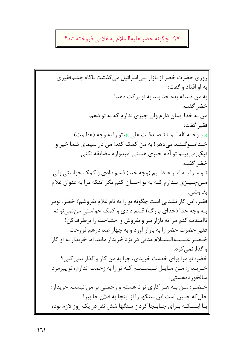## ۹۷- چگونه خضر علیهالسلام به غلامی فروخته شد؟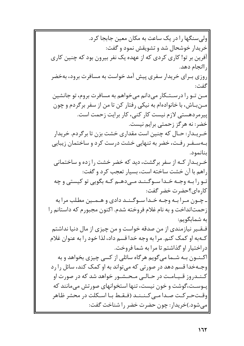|ولی سنگها را در یک ساعت به مکان معین جابجا کرد. خريدار خوشحال شد و تشويقش نمود و گفت: آفرین بر تو! کاری کردی که از عهده یک نفر بیرون بود که چنین کاری ], اانجام دهد. روزی بـرای خریدار سفری پیش آمد خواست به مسافرت برود، بهخضر گفت: مین تو را در ستکار میدانم میخواهم به مسافرت بروم، تو جانشین مــنبـاش، با خانوادهام به نيكي رفتار كن تا من از سفر برگردم و چون ییرمردهستی لازم نیست کار کنی، کار برایت زحمت است. خضر: نه هرگز زحمتی برایم نیست. خـریــدار: حــال که چنین است مقداری خشت بزن تا برگردم. خریدار بـهسـفـر رفـت، خضر به تنهایی خشت درست کرد و ساختمان زیبایی بنانمود. خـریـدار کـه از سفر برگشت، دید که خضر خشت را زده و ساختمانی راهم با آن خشت ساخته است، بسیار تعجب کرد و گفت: تـو را بـه وجـه خـدا سـوگـنـد مـی٥هـم کـه بگویی تو کیستی و چه كار ەاي؟حضرت خضر گفت: ـ چـون مـرا بـه وجـه خـدا سـوگـنـد دادي و هـمـين مطلب مرا به |زحمت|نداخت و به نام غلام فروخته شدم. اكنون مجبورم كه داستانم را به شمابگویم: فيقير نيازمندي از من صدقه خواست و من چيزي از مال دنيا نداشتم کـهبه او کمک کنم. مرا به وجه خدا قسم داد، لذا خود را به عنوان غلام دراختیار او گذاشتم تا مرا به شما فروخت. اکـنـون بـه شـما می گویم هر گاه سائلی از کسی چیزی بخواهد و به وجـهخدا قسم دهد در صورتي كه مے تواند به او كمک كند، سائل را رد کـنـدروز قـیـامـت در حـالـی مـحـشـور خواهد شد که در صورت او یـوسـت،گوشت و خون نیست، تنها استخوانهای صورتش می مانند که وقــتحــر كــت صــدا مــى كــنــنــد (فــقــط بــا اســكلت در محشر ظـاهر |میشود.)خریدار: چون حضرت خضر را شناخت گفت: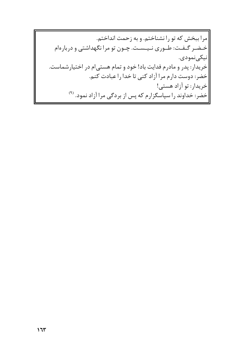مرا ببخش که تو را نشناختم. و به زحمت انداختم. |خـضـر گـفـت: طـورى نـيـسـت. چـون تو مرا نگهداشتى و دربارهام |نيكى نمودى. خریدار: پدر و مادرم فدایت باد! خود و تمام هستی|م در اختیارشماست. خضر: دوست دارم مرا آزاد کنی تا خدا را عبادت کنم. |خريدار: تو آزاد هستي! |خضر: خداوند را سپاسگزارم که پس از بردگی مرا آزاد نمود. <sup>(۹)</sup>